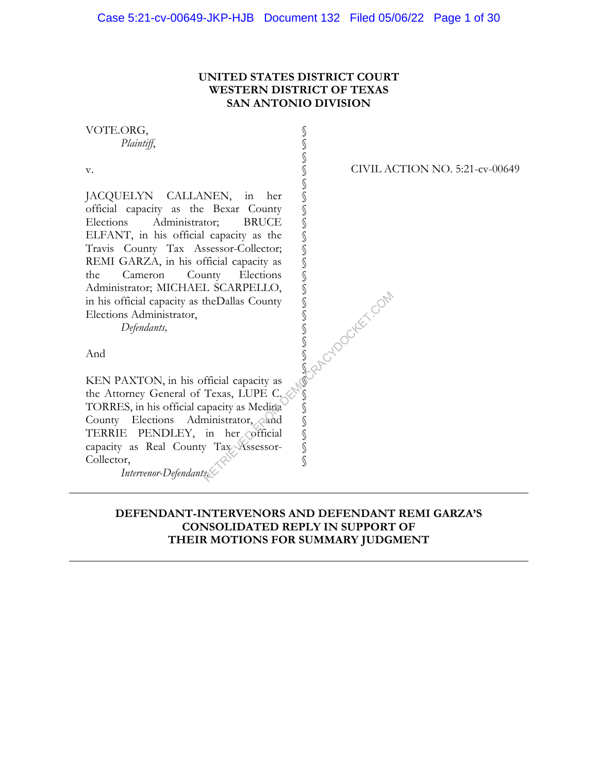## **UNITED STATES DISTRICT COURT WESTERN DISTRICT OF TEXAS SAN ANTONIO DIVISION**

§ § § § § § § § § § § § § § § § § § § § § § § § § §

VOTE.ORG, *Plaintiff*,

v.

JACQUELYN CALLANEN, in her official capacity as the Bexar County Elections Administrator; BRUCE ELFANT, in his official capacity as the Travis County Tax Assessor-Collector; REMI GARZA, in his official capacity as the Cameron County Elections Administrator; MICHAEL SCARPELLO, in his official capacity as theDallas County Elections Administrator,

*Defendants,*

And

KEN PAXTON, in his official capacity as the Attorney General of Texas, LUPE C. TORRES, in his official capacity as Medina County Elections Administrator, and TERRIE PENDLEY, in her official capacity as Real County Tax Assessor-Collector, RETRIEVED FROM DEMOCRACY SUPPORT OF THE SAME COMPANY OF THE COMPANY OF THE COMPANY SUPPORT OF THE COMPANY OF THE COMPANY SUPPORT OF THE COMPANY OF THE COMPANY SUPPORT OF THE COMPANY SUPPORT OF THE COMPANY SUPPORT OF THE CO

*Intervenor-Defendants.*

CIVIL ACTION NO. 5:21-cv-00649

**DEFENDANT-INTERVENORS AND DEFENDANT REMI GARZA'S CONSOLIDATED REPLY IN SUPPORT OF THEIR MOTIONS FOR SUMMARY JUDGMENT**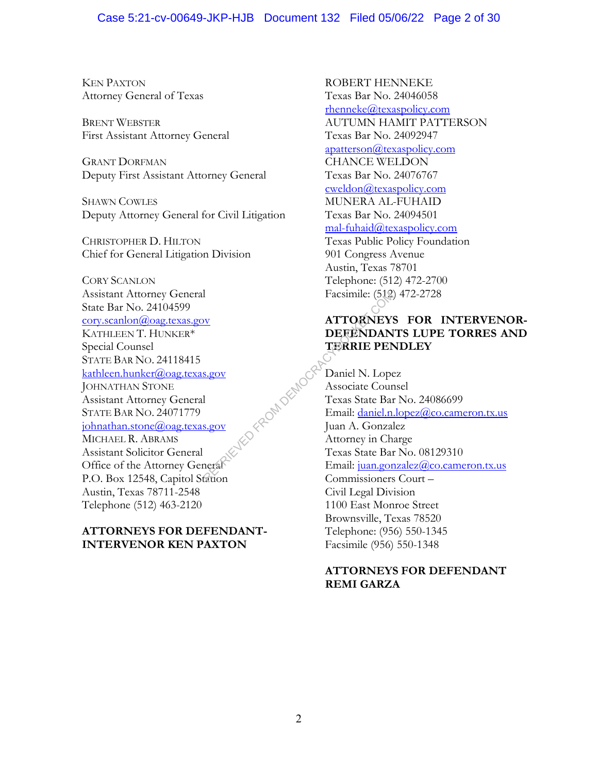### Case 5:21-cv-00649-JKP-HJB Document 132 Filed 05/06/22 Page 2 of 30

KEN PAXTON Attorney General of Texas

BRENT WEBSTER First Assistant Attorney General

GRANT DORFMAN Deputy First Assistant Attorney General

SHAWN COWLES Deputy Attorney General for Civil Litigation

CHRISTOPHER D. HILTON Chief for General Litigation Division

CORY SCANLON Assistant Attorney General State Bar No. 24104599 cory.scanlon@oag.texas.gov KATHLEEN T. HUNKER\* Special Counsel STATE BAR NO. 24118415 kathleen.hunker@oag.texas.gov JOHNATHAN STONE Assistant Attorney General STATE BAR NO. 24071779 johnathan.stone@oag.texas.gov MICHAEL R. ABRAMS Assistant Solicitor General Office of the Attorney General P.O. Box 12548, Capitol Station Austin, Texas 78711-2548 Telephone (512) 463-2120

## **ATTORNEYS FOR DEFENDANT-INTERVENOR KEN PAXTON**

ROBERT HENNEKE Texas Bar No. 24046058 rhenneke@texaspolicy.com AUTUMN HAMIT PATTERSON Texas Bar No. 24092947  $a$ patterson $(a)$ texaspolicy.com CHANCE WELDON Texas Bar No. 24076767 cweldon@texaspolicy.com MUNERA AL-FUHAID Texas Bar No. 24094501 mal-fuhaid@texaspolicy.com Texas Public Policy Foundation 901 Congress Avenue Austin, Texas 78701 Telephone: (512) 472-2700 Facsimile: (512) 472-2728

## **ATTORNEYS FOR INTERVENOR-DEFENDANTS LUPE TORRES AND TERRIE PENDLEY**

Daniel N. Lopez Associate Counsel Texas State Bar No. 24086699 Email: daniel.n.lopez@co.cameron.tx.us Juan A. Gonzalez Attorney in Charge Texas State Bar No. 08129310 Email: juan.gonzalez@co.cameron.tx.us Commissioners Court – Civil Legal Division 1100 East Monroe Street Brownsville, Texas 78520 Telephone: (956) 550-1345 Facsimile (956) 550-1348 Facsimile: (512)<br>
NETRIEVENEY:<br>
DEFENDAN<br>
TERRIE PEN<br>
S.gov<br>
1<br>
S.gov<br>
2<br>
S.gov<br>
2<br>
S.gov<br>
2<br>
Canneral<br>
2<br>
Canneral<br>
2<br>
Canneral<br>
2<br>
Canneral<br>
2<br>
Attorney in Ch<br>
2<br>
Canneral<br>
2<br>
Attorney in Ch<br>
2<br>
Attorney in Ch<br>
2<br>
Canner

## **ATTORNEYS FOR DEFENDANT REMI GARZA**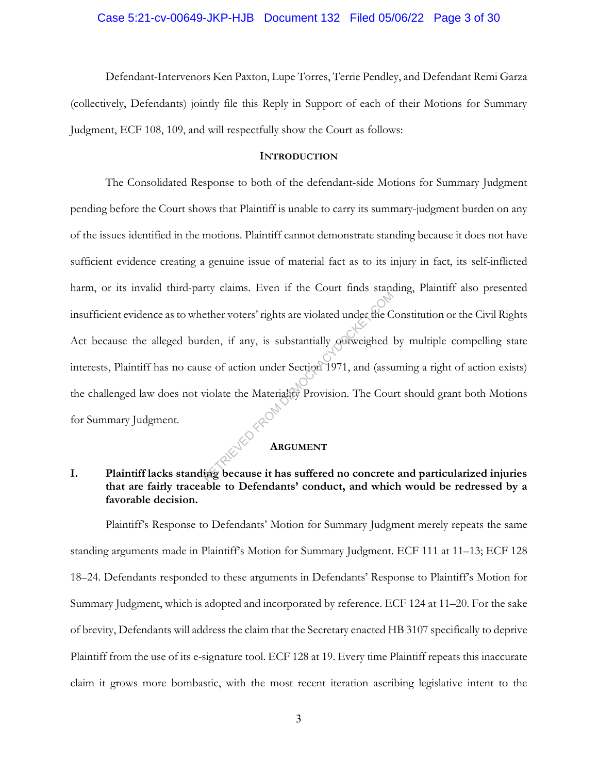#### Case 5:21-cv-00649-JKP-HJB Document 132 Filed 05/06/22 Page 3 of 30

Defendant-Intervenors Ken Paxton, Lupe Torres, Terrie Pendley, and Defendant Remi Garza (collectively, Defendants) jointly file this Reply in Support of each of their Motions for Summary Judgment, ECF 108, 109, and will respectfully show the Court as follows:

#### **INTRODUCTION**

The Consolidated Response to both of the defendant-side Motions for Summary Judgment pending before the Court shows that Plaintiff is unable to carry its summary-judgment burden on any of the issues identified in the motions. Plaintiff cannot demonstrate standing because it does not have sufficient evidence creating a genuine issue of material fact as to its injury in fact, its self-inflicted harm, or its invalid third-party claims. Even if the Court finds standing, Plaintiff also presented insufficient evidence as to whether voters' rights are violated under the Constitution or the Civil Rights Act because the alleged burden, if any, is substantially outweighed by multiple compelling state interests, Plaintiff has no cause of action under Section 1971, and (assuming a right of action exists) the challenged law does not violate the Materiality Provision. The Court should grant both Motions for Summary Judgment. RETRIEVED THE USER THIS DEFINITE CONTRACT UNITS ARE UNION ON THE COLLECT OF THE COLLECT OF THE COLLECT OF THE COLLECT OF THE COLLECT OF THE COLLECT OF THE COLLECT OF THE COLLECT OF THE COLLECT OF THE COLLECT OF THE COLLECT

## **ARGUMENT**

## **I. Plaintiff lacks standing because it has suffered no concrete and particularized injuries that are fairly traceable to Defendants' conduct, and which would be redressed by a favorable decision.**

Plaintiff's Response to Defendants' Motion for Summary Judgment merely repeats the same standing arguments made in Plaintiff's Motion for Summary Judgment. ECF 111 at 11–13; ECF 128 18–24. Defendants responded to these arguments in Defendants' Response to Plaintiff's Motion for Summary Judgment, which is adopted and incorporated by reference. ECF 124 at 11–20. For the sake of brevity, Defendants will address the claim that the Secretary enacted HB 3107 specifically to deprive Plaintiff from the use of its e-signature tool. ECF 128 at 19. Every time Plaintiff repeats this inaccurate claim it grows more bombastic, with the most recent iteration ascribing legislative intent to the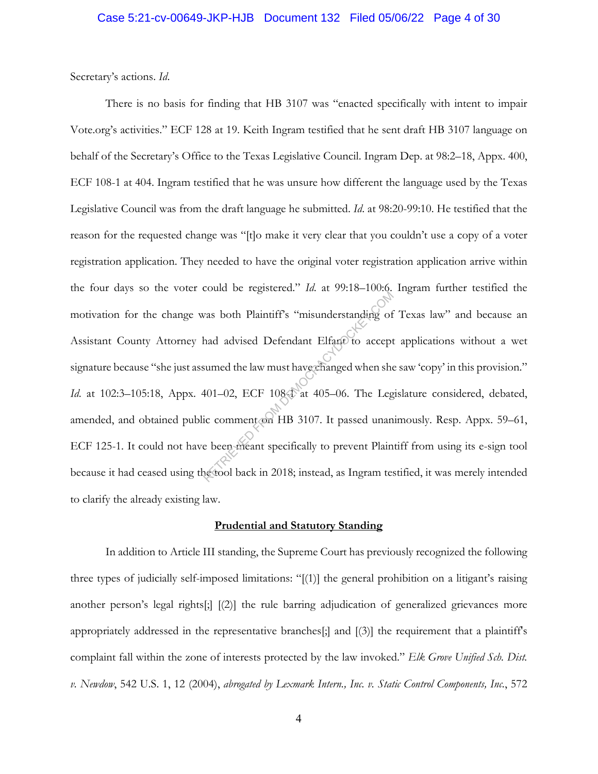Secretary's actions. *Id*.

There is no basis for finding that HB 3107 was "enacted specifically with intent to impair Vote.org's activities." ECF 128 at 19. Keith Ingram testified that he sent draft HB 3107 language on behalf of the Secretary's Office to the Texas Legislative Council. Ingram Dep. at 98:2–18, Appx. 400, ECF 108-1 at 404. Ingram testified that he was unsure how different the language used by the Texas Legislative Council was from the draft language he submitted. *Id*. at 98:20-99:10. He testified that the reason for the requested change was "[t]o make it very clear that you couldn't use a copy of a voter registration application. They needed to have the original voter registration application arrive within the four days so the voter could be registered." *Id*. at 99:18–100:6. Ingram further testified the motivation for the change was both Plaintiff's "misunderstanding of Texas law" and because an Assistant County Attorney had advised Defendant Elfant to accept applications without a wet signature because "she just assumed the law must have changed when she saw 'copy' in this provision." *Id.* at 102:3-105:18, Appx. 401-02, ECF 1084 at 405-06. The Legislature considered, debated, amended, and obtained public comment on HB 3107. It passed unanimously. Resp. Appx. 59–61, ECF 125-1. It could not have been meant specifically to prevent Plaintiff from using its e-sign tool because it had ceased using the tool back in 2018; instead, as Ingram testified, it was merely intended to clarify the already existing law. resources From the Southern Company of<br>thad advised Defendant Elfant to accept<br>sumed the law must have changed when she<br>401–02, ECF 1084 at 405–06. The Leg<br>ic comment on HB 3107. It passed unan<br>e been meant specifically to

#### **Prudential and Statutory Standing**

In addition to Article III standing, the Supreme Court has previously recognized the following three types of judicially self-imposed limitations: "[(1)] the general prohibition on a litigant's raising another person's legal rights[;] [(2)] the rule barring adjudication of generalized grievances more appropriately addressed in the representative branches[;] and [(3)] the requirement that a plaintiff's complaint fall within the zone of interests protected by the law invoked." *Elk Grove Unified Sch. Dist. v. Newdow*, 542 U.S. 1, 12 (2004), *abrogated by Lexmark Intern., Inc. v. Static Control Components, Inc.*, 572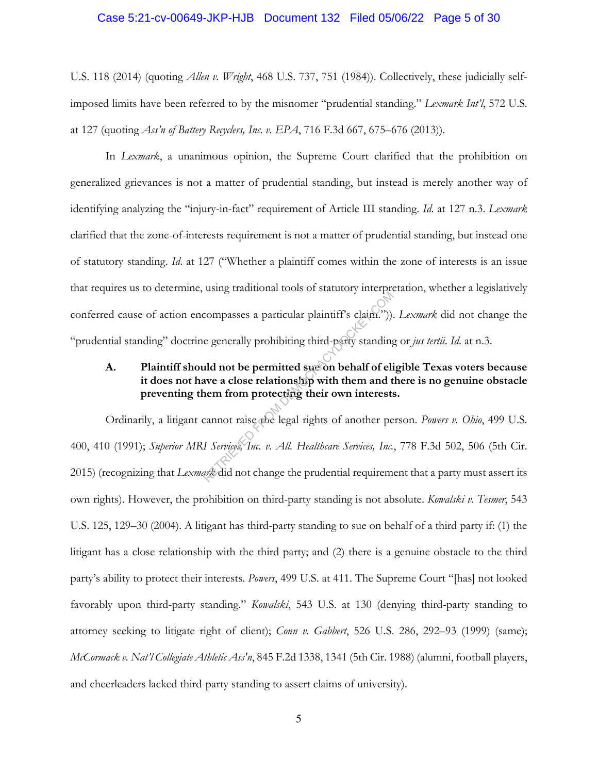#### Case 5:21-cv-00649-JKP-HJB Document 132 Filed 05/06/22 Page 5 of 30

U.S. 118 (2014) (quoting *Allen v. Wright*, 468 U.S. 737, 751 (1984)). Collectively, these judicially selfimposed limits have been referred to by the misnomer "prudential standing." *Lexmark Int'l*, 572 U.S. at 127 (quoting *Ass'n of Battery Recyclers, Inc. v. EPA*, 716 F.3d 667, 675–676 (2013)).

In *Lexmark*, a unanimous opinion, the Supreme Court clarified that the prohibition on generalized grievances is not a matter of prudential standing, but instead is merely another way of identifying analyzing the "injury-in-fact" requirement of Article III standing. *Id*. at 127 n.3. *Lexmark* clarified that the zone-of-interests requirement is not a matter of prudential standing, but instead one of statutory standing. *Id*. at 127 ("Whether a plaintiff comes within the zone of interests is an issue that requires us to determine, using traditional tools of statutory interpretation, whether a legislatively conferred cause of action encompasses a particular plaintiff's claim.")). *Lexmark* did not change the "prudential standing" doctrine generally prohibiting third-party standing or *jus tertii*. *Id*. at n.3.

## **A. Plaintiff should not be permitted sue on behalf of eligible Texas voters because it does not have a close relationship with them and there is no genuine obstacle preventing them from protecting their own interests.**

Ordinarily, a litigant cannot raise the legal rights of another person. *Powers v. Ohio*, 499 U.S. 400, 410 (1991); *Superior MRI Services, Inc. v. All. Healthcare Services, Inc.*, 778 F.3d 502, 506 (5th Cir. 2015) (recognizing that *Lexmark* did not change the prudential requirement that a party must assert its own rights). However, the prohibition on third-party standing is not absolute. *Kowalski v. Tesmer*, 543 U.S. 125, 129–30 (2004). A litigant has third-party standing to sue on behalf of a third party if: (1) the litigant has a close relationship with the third party; and (2) there is a genuine obstacle to the third party's ability to protect their interests. *Powers*, 499 U.S. at 411. The Supreme Court "[has] not looked favorably upon third-party standing." *Kowalski*, 543 U.S. at 130 (denying third-party standing to attorney seeking to litigate right of client); *Conn v. Gabbert*, 526 U.S. 286, 292–93 (1999) (same); *McCormack v. Nat'l Collegiate Athletic Ass'n*, 845 F.2d 1338, 1341 (5th Cir. 1988) (alumni, football players, and cheerleaders lacked third-party standing to assert claims of university). compasses a particular plaintiff's claim.")).<br>
e generally prohibiting third-party standing<br>
ald not be permitted sucon behalf of eli<br>
ave a close relationship with them and t<br>
nem from protecting their own interests<br>
cann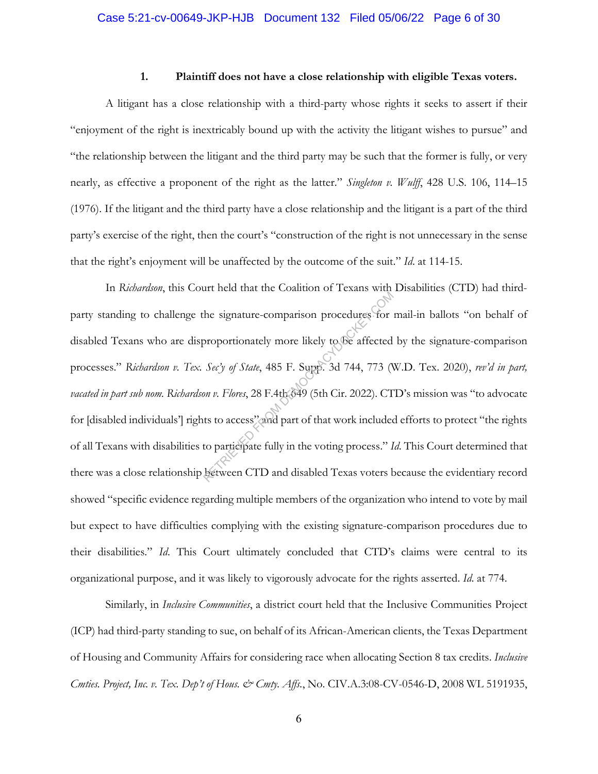#### **1. Plaintiff does not have a close relationship with eligible Texas voters.**

A litigant has a close relationship with a third-party whose rights it seeks to assert if their "enjoyment of the right is inextricably bound up with the activity the litigant wishes to pursue" and "the relationship between the litigant and the third party may be such that the former is fully, or very nearly, as effective a proponent of the right as the latter." *Singleton v. Wulff*, 428 U.S. 106, 114–15 (1976). If the litigant and the third party have a close relationship and the litigant is a part of the third party's exercise of the right, then the court's "construction of the right is not unnecessary in the sense that the right's enjoyment will be unaffected by the outcome of the suit." *Id*. at 114-15.

In *Richardson*, this Court held that the Coalition of Texans with Disabilities (CTD) had thirdparty standing to challenge the signature-comparison procedures for mail-in ballots "on behalf of disabled Texans who are disproportionately more likely to be affected by the signature-comparison processes." *Richardson v. Tex. Sec'y of State*, 485 F. Supp. 3d 744, 773 (W.D. Tex. 2020), *rev'd in part, vacated in part sub nom. Richardson v. Flores*, 28 F.4th 649 (5th Cir. 2022). CTD's mission was "to advocate for [disabled individuals'] rights to access" and part of that work included efforts to protect "the rights of all Texans with disabilities to participate fully in the voting process." *Id*. This Court determined that there was a close relationship between CTD and disabled Texas voters because the evidentiary record showed "specific evidence regarding multiple members of the organization who intend to vote by mail but expect to have difficulties complying with the existing signature-comparison procedures due to their disabilities." *Id*. This Court ultimately concluded that CTD's claims were central to its organizational purpose, and it was likely to vigorously advocate for the rights asserted. *Id*. at 774. The signature-comparison procedures for<br>proportionately more likely to be affected<br>Sec'y of State, 485 F. Supp. 3d 744, 773 (Non v. Flores, 28 F.4th 649 (5th Cir. 2022). CT<br>ts to access" and part of that work included<br>to p

Similarly, in *Inclusive Communities*, a district court held that the Inclusive Communities Project (ICP) had third-party standing to sue, on behalf of its African-American clients, the Texas Department of Housing and Community Affairs for considering race when allocating Section 8 tax credits. *Inclusive Cmties. Project, Inc. v. Tex. Dep't of Hous. & Cmty. Affs.*, No. CIV.A.3:08-CV-0546-D, 2008 WL 5191935,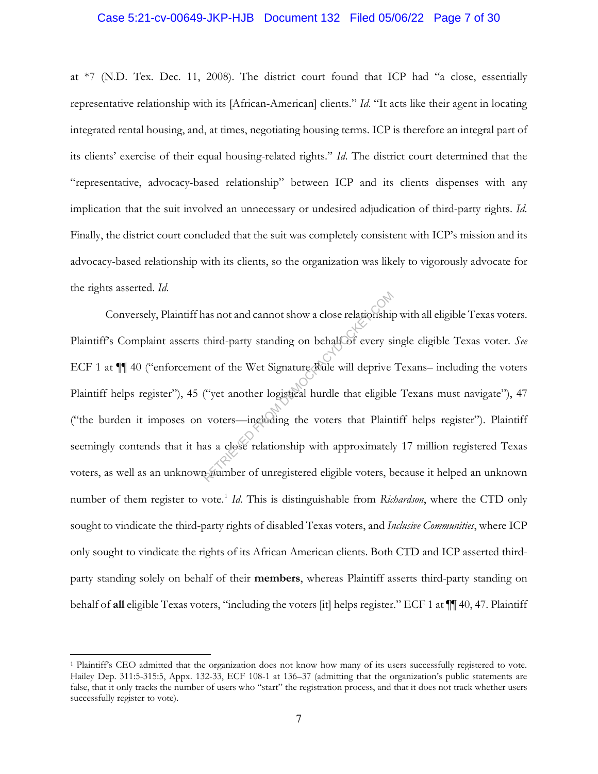#### Case 5:21-cv-00649-JKP-HJB Document 132 Filed 05/06/22 Page 7 of 30

at \*7 (N.D. Tex. Dec. 11, 2008). The district court found that ICP had "a close, essentially representative relationship with its [African-American] clients." *Id*. "It acts like their agent in locating integrated rental housing, and, at times, negotiating housing terms. ICP is therefore an integral part of its clients' exercise of their equal housing-related rights." *Id*. The district court determined that the "representative, advocacy-based relationship" between ICP and its clients dispenses with any implication that the suit involved an unnecessary or undesired adjudication of third-party rights. *Id*. Finally, the district court concluded that the suit was completely consistent with ICP's mission and its advocacy-based relationship with its clients, so the organization was likely to vigorously advocate for the rights asserted. *Id*.

Conversely, Plaintiff has not and cannot show a close relationship with all eligible Texas voters. Plaintiff's Complaint asserts third-party standing on behalf of every single eligible Texas voter. *See*  ECF 1 at ¶¶ 40 ("enforcement of the Wet Signature Rule will deprive Texans– including the voters Plaintiff helps register"), 45 ("yet another logistical hurdle that eligible Texans must navigate"), 47 ("the burden it imposes on voters—including the voters that Plaintiff helps register"). Plaintiff seemingly contends that it has a close relationship with approximately 17 million registered Texas voters, as well as an unknown number of unregistered eligible voters, because it helped an unknown number of them register to vote.<sup>1</sup> *Id*. This is distinguishable from *Richardson*, where the CTD only sought to vindicate the third-party rights of disabled Texas voters, and *Inclusive Communities*, where ICP only sought to vindicate the rights of its African American clients. Both CTD and ICP asserted thirdparty standing solely on behalf of their **members**, whereas Plaintiff asserts third-party standing on behalf of **all** eligible Texas voters, "including the voters [it] helps register." ECF 1 at ¶¶ 40, 47. Plaintiff Third-party standing on behalf of every sites third-party standing on behalf of every sites that of the Wet Signature Rule will deprive ("yet another logistical hurdle that eligible voters—including the voters that Plain a

<sup>1</sup> Plaintiff's CEO admitted that the organization does not know how many of its users successfully registered to vote. Hailey Dep. 311:5-315:5, Appx. 132-33, ECF 108-1 at 136–37 (admitting that the organization's public statements are false, that it only tracks the number of users who "start" the registration process, and that it does not track whether users successfully register to vote).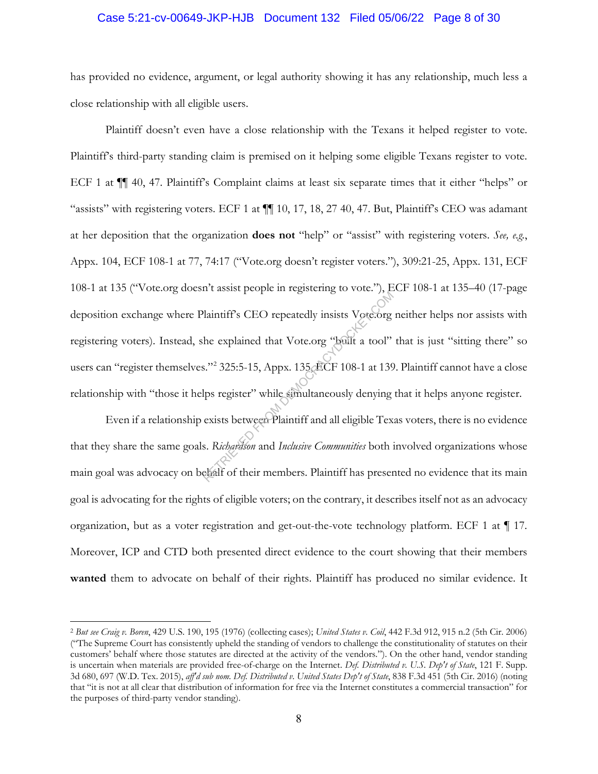#### Case 5:21-cv-00649-JKP-HJB Document 132 Filed 05/06/22 Page 8 of 30

has provided no evidence, argument, or legal authority showing it has any relationship, much less a close relationship with all eligible users.

Plaintiff doesn't even have a close relationship with the Texans it helped register to vote. Plaintiff's third-party standing claim is premised on it helping some eligible Texans register to vote. ECF 1 at ¶¶ 40, 47. Plaintiff's Complaint claims at least six separate times that it either "helps" or "assists" with registering voters. ECF 1 at  $\P$  10, 17, 18, 27 40, 47. But, Plaintiff's CEO was adamant at her deposition that the organization **does not** "help" or "assist" with registering voters. *See, e.g.*, Appx. 104, ECF 108-1 at 77, 74:17 ("Vote.org doesn't register voters."), 309:21-25, Appx. 131, ECF 108-1 at 135 ("Vote.org doesn't assist people in registering to vote."), ECF 108-1 at 135–40 (17-page deposition exchange where Plaintiff's CEO repeatedly insists Vote.org neither helps nor assists with registering voters). Instead, she explained that Vote.org "built a tool" that is just "sitting there" so users can "register themselves."<sup>2</sup> 325:5-15, Appx. 135, ECF 108-1 at 139. Plaintiff cannot have a close relationship with "those it helps register" while simultaneously denying that it helps anyone register. Reflaintiff's CEO repeatedly insists Vote.org<br>
he explained that Vote.org "built a tool"<br>
S."<sup>2</sup> 325:5-15, Appx. 135 CCF 108-1 at 139<br>
lps register" while simultaneously denying<br>
exists between Plaintiff and all eligible T

Even if a relationship exists between Plaintiff and all eligible Texas voters, there is no evidence that they share the same goals. *Richardson* and *Inclusive Communities* both involved organizations whose main goal was advocacy on behalf of their members. Plaintiff has presented no evidence that its main goal is advocating for the rights of eligible voters; on the contrary, it describes itself not as an advocacy organization, but as a voter registration and get-out-the-vote technology platform. ECF 1 at ¶ 17. Moreover, ICP and CTD both presented direct evidence to the court showing that their members **wanted** them to advocate on behalf of their rights. Plaintiff has produced no similar evidence. It

<sup>2</sup> *But see Craig v. Boren*, 429 U.S. 190, 195 (1976) (collecting cases); *United States v. Coil*, 442 F.3d 912, 915 n.2 (5th Cir. 2006) ("The Supreme Court has consistently upheld the standing of vendors to challenge the constitutionality of statutes on their customers' behalf where those statutes are directed at the activity of the vendors."). On the other hand, vendor standing is uncertain when materials are provided free-of-charge on the Internet. *Def. Distributed v. U.S. Dep't of State*, 121 F. Supp. 3d 680, 697 (W.D. Tex. 2015), *aff'd sub nom. Def. Distributed v. United States Dep't of State*, 838 F.3d 451 (5th Cir. 2016) (noting that "it is not at all clear that distribution of information for free via the Internet constitutes a commercial transaction" for the purposes of third-party vendor standing).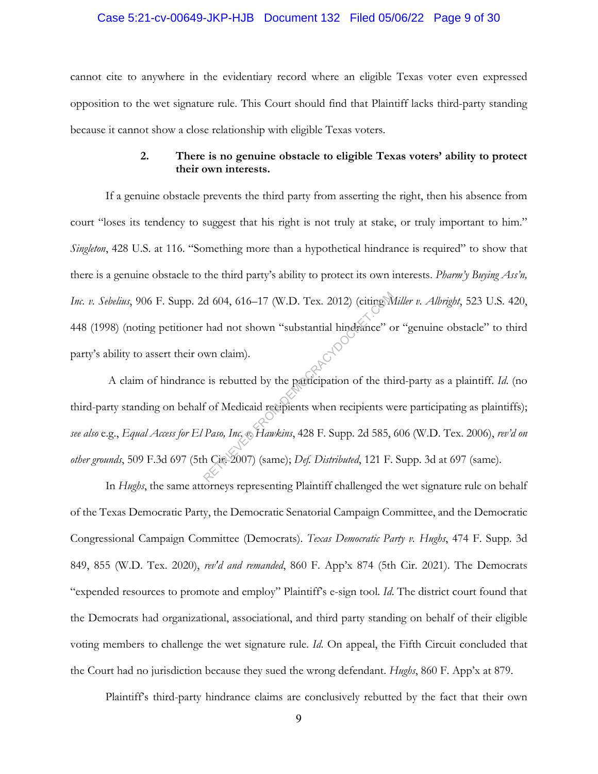#### Case 5:21-cv-00649-JKP-HJB Document 132 Filed 05/06/22 Page 9 of 30

cannot cite to anywhere in the evidentiary record where an eligible Texas voter even expressed opposition to the wet signature rule. This Court should find that Plaintiff lacks third-party standing because it cannot show a close relationship with eligible Texas voters.

## **2. There is no genuine obstacle to eligible Texas voters' ability to protect their own interests.**

If a genuine obstacle prevents the third party from asserting the right, then his absence from court "loses its tendency to suggest that his right is not truly at stake, or truly important to him." *Singleton*, 428 U.S. at 116. "Something more than a hypothetical hindrance is required" to show that there is a genuine obstacle to the third party's ability to protect its own interests. *Pharm'y Buying Ass'n, Inc. v. Sebelius*, 906 F. Supp. 2d 604, 616–17 (W.D. Tex. 2012) (citing *Miller v. Albright*, 523 U.S. 420, 448 (1998) (noting petitioner had not shown "substantial hindrance" or "genuine obstacle" to third party's ability to assert their own claim).

 A claim of hindrance is rebutted by the participation of the third-party as a plaintiff. *Id*. (no third-party standing on behalf of Medicaid recipients when recipients were participating as plaintiffs); *see also* e.g., *Equal Access for El Paso, Inc. v. Hawkins*, 428 F. Supp. 2d 585, 606 (W.D. Tex. 2006), *rev'd on other grounds*, 509 F.3d 697 (5th Cir. 2007) (same); *Def. Distributed*, 121 F. Supp. 3d at 697 (same). d 604, 616–17 (W.D. Tex. 2012) (citing M<br>had not shown "substantial hindrance" o<br>wn claim).<br>e is rebutted by the participation of the this<br>f of Medicaid recipients when recipients w<br>Paso, Inc. & Hawkins, 428 F. Supp. 2d 58

In *Hughs*, the same attorneys representing Plaintiff challenged the wet signature rule on behalf of the Texas Democratic Party, the Democratic Senatorial Campaign Committee, and the Democratic Congressional Campaign Committee (Democrats). *Texas Democratic Party v. Hughs*, 474 F. Supp. 3d 849, 855 (W.D. Tex. 2020), *rev'd and remanded*, 860 F. App'x 874 (5th Cir. 2021). The Democrats "expended resources to promote and employ" Plaintiff's e-sign tool. *Id*. The district court found that the Democrats had organizational, associational, and third party standing on behalf of their eligible voting members to challenge the wet signature rule. *Id*. On appeal, the Fifth Circuit concluded that the Court had no jurisdiction because they sued the wrong defendant. *Hughs*, 860 F. App'x at 879.

Plaintiff's third-party hindrance claims are conclusively rebutted by the fact that their own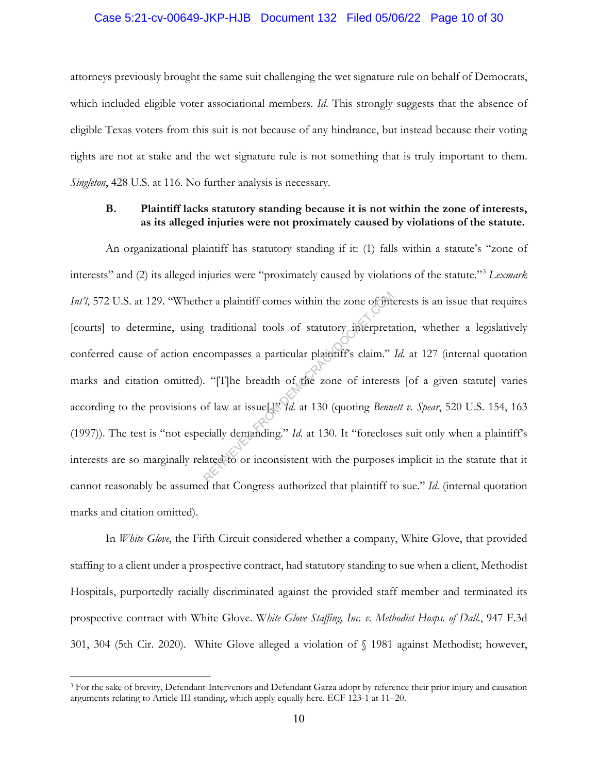### Case 5:21-cv-00649-JKP-HJB Document 132 Filed 05/06/22 Page 10 of 30

attorneys previously brought the same suit challenging the wet signature rule on behalf of Democrats, which included eligible voter associational members. *Id*. This strongly suggests that the absence of eligible Texas voters from this suit is not because of any hindrance, but instead because their voting rights are not at stake and the wet signature rule is not something that is truly important to them. *Singleton*, 428 U.S. at 116. No further analysis is necessary.

## **B. Plaintiff lacks statutory standing because it is not within the zone of interests, as its alleged injuries were not proximately caused by violations of the statute.**

An organizational plaintiff has statutory standing if it: (1) falls within a statute's "zone of interests" and (2) its alleged injuries were "proximately caused by violations of the statute."3 *Lexmark Int'l*, 572 U.S. at 129. "Whether a plaintiff comes within the zone of interests is an issue that requires [courts] to determine, using traditional tools of statutory interpretation, whether a legislatively conferred cause of action encompasses a particular plaintiff's claim." *Id.* at 127 (internal quotation marks and citation omitted). "[T]he breadth of the zone of interests [of a given statute] varies according to the provisions of law at issue[.]" *Id*. at 130 (quoting *Bennett v. Spear*, 520 U.S. 154, 163 (1997)). The test is "not especially demanding." *Id*. at 130. It "forecloses suit only when a plaintiff's interests are so marginally related to or inconsistent with the purposes implicit in the statute that it cannot reasonably be assumed that Congress authorized that plaintiff to sue." *Id*. (internal quotation marks and citation omitted). er a plaintiff comes within the zone of interpretated tools of statutory interpretated compasses a particular plaintiff's claim."<br>
"[T]he breadth of the zone of interest<br>
of law at issue[1] d. at 130 (quoting *Benn*<br>
ciall

In *White Glove*, the Fifth Circuit considered whether a company, White Glove, that provided staffing to a client under a prospective contract, had statutory standing to sue when a client, Methodist Hospitals, purportedly racially discriminated against the provided staff member and terminated its prospective contract with White Glove. W*hite Glove Staffing, Inc. v. Methodist Hosps. of Dall.*, 947 F.3d 301, 304 (5th Cir. 2020). White Glove alleged a violation of § 1981 against Methodist; however,

<sup>3</sup> For the sake of brevity, Defendant-Intervenors and Defendant Garza adopt by reference their prior injury and causation arguments relating to Article III standing, which apply equally here. ECF 123-1 at 11–20.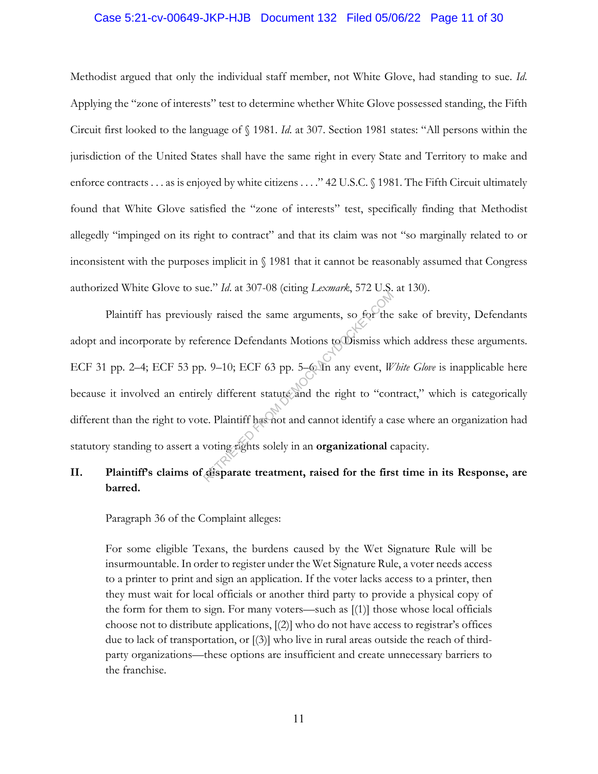#### Case 5:21-cv-00649-JKP-HJB Document 132 Filed 05/06/22 Page 11 of 30

Methodist argued that only the individual staff member, not White Glove, had standing to sue. *Id*. Applying the "zone of interests" test to determine whether White Glove possessed standing, the Fifth Circuit first looked to the language of § 1981. *Id*. at 307. Section 1981 states: "All persons within the jurisdiction of the United States shall have the same right in every State and Territory to make and enforce contracts . . . as is enjoyed by white citizens . . . ." 42 U.S.C. § 1981. The Fifth Circuit ultimately found that White Glove satisfied the "zone of interests" test, specifically finding that Methodist allegedly "impinged on its right to contract" and that its claim was not "so marginally related to or inconsistent with the purposes implicit in § 1981 that it cannot be reasonably assumed that Congress authorized White Glove to sue." *Id*. at 307-08 (citing *Lexmark*, 572 U.S. at 130).

Plaintiff has previously raised the same arguments, so for the sake of brevity, Defendants adopt and incorporate by reference Defendants Motions to Dismiss which address these arguments. ECF 31 pp. 2–4; ECF 53 pp. 9–10; ECF 63 pp. 5–6. In any event, *White Glove* is inapplicable here because it involved an entirely different statute and the right to "contract," which is categorically different than the right to vote. Plaintiff has not and cannot identify a case where an organization had statutory standing to assert a voting rights solely in an **organizational** capacity. Reference Defendants Motions to Dismiss where<br>erence Defendants Motions to Dismiss where<br>PLOCRACY DECF 63 pp. 5–6 In any event, Wely different statute and the right to "contractive and cannot identify a calculation<br>PLOCRAC

## **II. Plaintiff's claims of disparate treatment, raised for the first time in its Response, are barred.**

Paragraph 36 of the Complaint alleges:

For some eligible Texans, the burdens caused by the Wet Signature Rule will be insurmountable. In order to register under the Wet Signature Rule, a voter needs access to a printer to print and sign an application. If the voter lacks access to a printer, then they must wait for local officials or another third party to provide a physical copy of the form for them to sign. For many voters—such as [(1)] those whose local officials choose not to distribute applications, [(2)] who do not have access to registrar's offices due to lack of transportation, or [(3)] who live in rural areas outside the reach of thirdparty organizations—these options are insufficient and create unnecessary barriers to the franchise.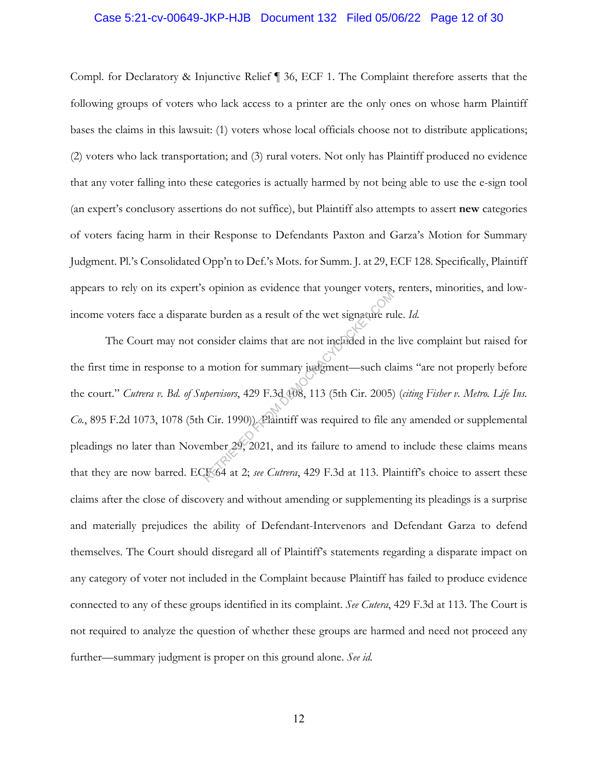#### Case 5:21-cv-00649-JKP-HJB Document 132 Filed 05/06/22 Page 12 of 30

Compl. for Declaratory & Injunctive Relief ¶ 36, ECF 1. The Complaint therefore asserts that the following groups of voters who lack access to a printer are the only ones on whose harm Plaintiff bases the claims in this lawsuit: (1) voters whose local officials choose not to distribute applications; (2) voters who lack transportation; and (3) rural voters. Not only has Plaintiff produced no evidence that any voter falling into these categories is actually harmed by not being able to use the e-sign tool (an expert's conclusory assertions do not suffice), but Plaintiff also attempts to assert **new** categories of voters facing harm in their Response to Defendants Paxton and Garza's Motion for Summary Judgment. Pl.'s Consolidated Opp'n to Def.'s Mots. for Summ. J. at 29, ECF 128. Specifically, Plaintiff appears to rely on its expert's opinion as evidence that younger voters, renters, minorities, and lowincome voters face a disparate burden as a result of the wet signature rule. *Id.*

The Court may not consider claims that are not included in the live complaint but raised for the first time in response to a motion for summary judgment—such claims "are not properly before the court." *Cutrera v. Bd. of Supervisors*, 429 F.3d 108, 113 (5th Cir. 2005) (*citing Fisher v. Metro. Life Ins. Co.*, 895 F.2d 1073, 1078 (5th Cir. 1990)). Plaintiff was required to file any amended or supplemental pleadings no later than November 29, 2021, and its failure to amend to include these claims means that they are now barred. ECF 64 at 2; *see Cutrera*, 429 F.3d at 113. Plaintiff's choice to assert these claims after the close of discovery and without amending or supplementing its pleadings is a surprise and materially prejudices the ability of Defendant-Intervenors and Defendant Garza to defend themselves. The Court should disregard all of Plaintiff's statements regarding a disparate impact on any category of voter not included in the Complaint because Plaintiff has failed to produce evidence connected to any of these groups identified in its complaint. *See Cutera*, 429 F.3d at 113. The Court is not required to analyze the question of whether these groups are harmed and need not proceed any further—summary judgment is proper on this ground alone. *See id.* e burden as a result of the wet signature ru<br>
onsider claims that are not included in the<br>
u motion for summary judgment—such clate<br>
upervisors, 429 F.3d 408, 113 (5th Cir. 2005)<br>
Cir. 1990)). Plaintiff was required to fil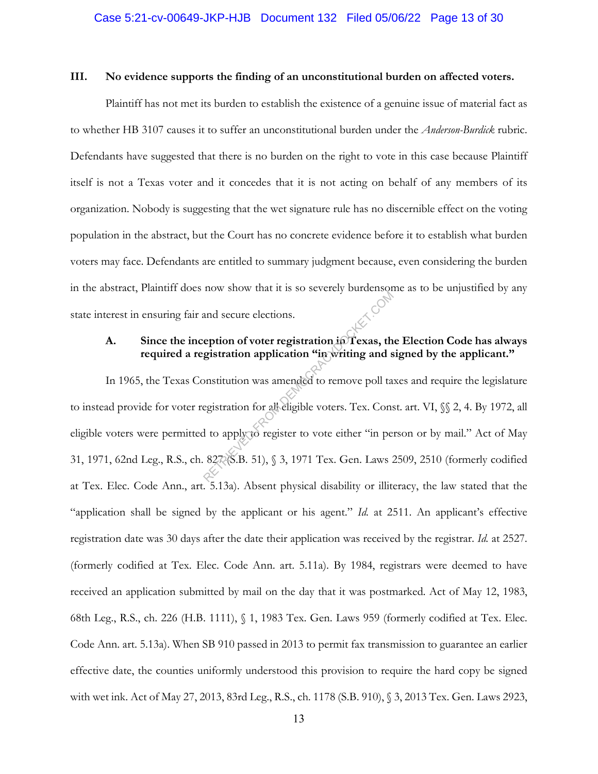#### **III. No evidence supports the finding of an unconstitutional burden on affected voters.**

Plaintiff has not met its burden to establish the existence of a genuine issue of material fact as to whether HB 3107 causes it to suffer an unconstitutional burden under the *Anderson-Burdick* rubric. Defendants have suggested that there is no burden on the right to vote in this case because Plaintiff itself is not a Texas voter and it concedes that it is not acting on behalf of any members of its organization. Nobody is suggesting that the wet signature rule has no discernible effect on the voting population in the abstract, but the Court has no concrete evidence before it to establish what burden voters may face. Defendants are entitled to summary judgment because, even considering the burden in the abstract, Plaintiff does now show that it is so severely burdensome as to be unjustified by any state interest in ensuring fair and secure elections.

## **A. Since the inception of voter registration in Texas, the Election Code has always required a registration application "in writing and signed by the applicant."**

In 1965, the Texas Constitution was amended to remove poll taxes and require the legislature to instead provide for voter registration for all eligible voters. Tex. Const. art. VI, §§ 2, 4. By 1972, all eligible voters were permitted to apply to register to vote either "in person or by mail." Act of May 31, 1971, 62nd Leg., R.S., ch. 827 (S.B. 51), § 3, 1971 Tex. Gen. Laws 2509, 2510 (formerly codified at Tex. Elec. Code Ann., art. 5.13a). Absent physical disability or illiteracy, the law stated that the "application shall be signed by the applicant or his agent." *Id.* at 2511. An applicant's effective registration date was 30 days after the date their application was received by the registrar. *Id.* at 2527. (formerly codified at Tex. Elec. Code Ann. art. 5.11a). By 1984, registrars were deemed to have received an application submitted by mail on the day that it was postmarked. Act of May 12, 1983, 68th Leg., R.S., ch. 226 (H.B. 1111), § 1, 1983 Tex. Gen. Laws 959 (formerly codified at Tex. Elec. Code Ann. art. 5.13a). When SB 910 passed in 2013 to permit fax transmission to guarantee an earlier effective date, the counties uniformly understood this provision to require the hard copy be signed with wet ink. Act of May 27, 2013, 83rd Leg., R.S., ch. 1178 (S.B. 910), § 3, 2013 Tex. Gen. Laws 2923, and secure elections.<br>
eption of voter registration in Texas, the<br>
gistration application "in writing and s<br>
onstitution was amended to remove poll ta<br>
egistration for all eligible voters. Tex. Cons<br>
1 to apply to register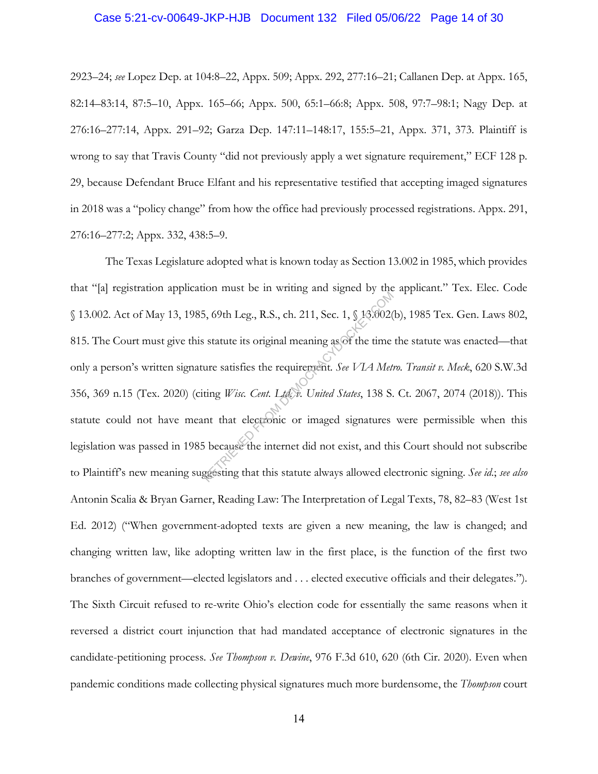#### Case 5:21-cv-00649-JKP-HJB Document 132 Filed 05/06/22 Page 14 of 30

2923–24; *see* Lopez Dep. at 104:8–22, Appx. 509; Appx. 292, 277:16–21; Callanen Dep. at Appx. 165, 82:14–83:14, 87:5–10, Appx. 165–66; Appx. 500, 65:1–66:8; Appx. 508, 97:7–98:1; Nagy Dep. at 276:16–277:14, Appx. 291–92; Garza Dep. 147:11–148:17, 155:5–21, Appx. 371, 373. Plaintiff is wrong to say that Travis County "did not previously apply a wet signature requirement," ECF 128 p. 29, because Defendant Bruce Elfant and his representative testified that accepting imaged signatures in 2018 was a "policy change" from how the office had previously processed registrations. Appx. 291, 276:16–277:2; Appx. 332, 438:5–9.

The Texas Legislature adopted what is known today as Section 13.002 in 1985, which provides that "[a] registration application must be in writing and signed by the applicant." Tex. Elec. Code § 13.002. Act of May 13, 1985, 69th Leg., R.S., ch. 211, Sec. 1, § 13.002(b), 1985 Tex. Gen. Laws 802, 815. The Court must give this statute its original meaning as of the time the statute was enacted—that only a person's written signature satisfies the requirement*. See VIA Metro. Transit v. Meck*, 620 S.W.3d 356, 369 n.15 (Tex. 2020) (citing *Wisc. Cent. Ltd. v. United States*, 138 S. Ct. 2067, 2074 (2018)). This statute could not have meant that electronic or imaged signatures were permissible when this legislation was passed in 1985 because the internet did not exist, and this Court should not subscribe to Plaintiff's new meaning suggesting that this statute always allowed electronic signing. *See id*.; *see also*  Antonin Scalia & Bryan Garner, Reading Law: The Interpretation of Legal Texts, 78, 82–83 (West 1st Ed. 2012) ("When government-adopted texts are given a new meaning, the law is changed; and changing written law, like adopting written law in the first place, is the function of the first two branches of government—elected legislators and . . . elected executive officials and their delegates."). The Sixth Circuit refused to re-write Ohio's election code for essentially the same reasons when it reversed a district court injunction that had mandated acceptance of electronic signatures in the candidate-petitioning process. *See Thompson v. Dewine*, 976 F.3d 610, 620 (6th Cir. 2020). Even when pandemic conditions made collecting physical signatures much more burdensome, the *Thompson* court 5, 69th Leg., R.S., ch. 211, Sec. 1,  $\S$  18.002(<br>is statute its original meaning as of the time<br>ure satisfies the requirement. See VIA Met.<br>ting *Wisc. Cent. Ltd. v. United States*, 138 S.<br>nt that electronic or imaged sig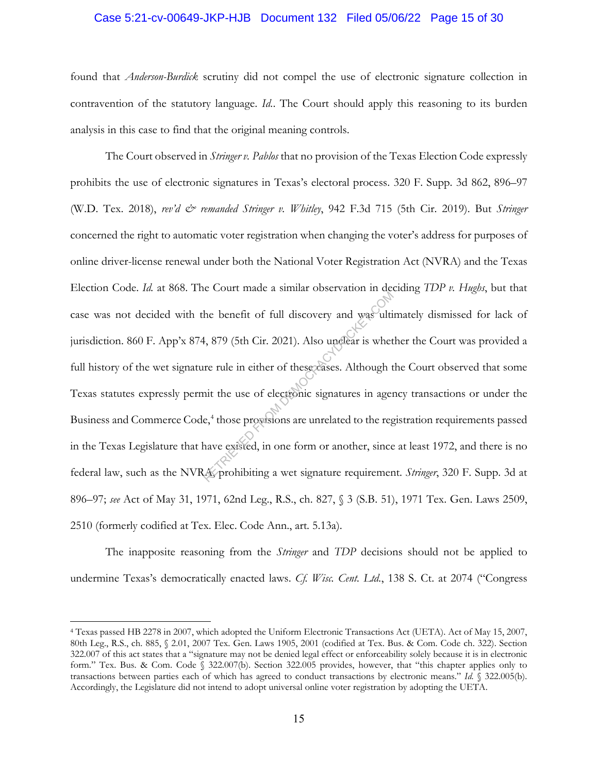#### Case 5:21-cv-00649-JKP-HJB Document 132 Filed 05/06/22 Page 15 of 30

found that *Anderson-Burdick* scrutiny did not compel the use of electronic signature collection in contravention of the statutory language. *Id.*. The Court should apply this reasoning to its burden analysis in this case to find that the original meaning controls.

The Court observed in *Stringer v. Pablos* that no provision of the Texas Election Code expressly prohibits the use of electronic signatures in Texas's electoral process. 320 F. Supp. 3d 862, 896–97 (W.D. Tex. 2018), *rev'd & remanded Stringer v. Whitley*, 942 F.3d 715 (5th Cir. 2019). But *Stringer*  concerned the right to automatic voter registration when changing the voter's address for purposes of online driver-license renewal under both the National Voter Registration Act (NVRA) and the Texas Election Code. *Id.* at 868. The Court made a similar observation in deciding *TDP v. Hughs*, but that case was not decided with the benefit of full discovery and was ultimately dismissed for lack of jurisdiction. 860 F. App'x 874, 879 (5th Cir. 2021). Also unclear is whether the Court was provided a full history of the wet signature rule in either of these cases. Although the Court observed that some Texas statutes expressly permit the use of electronic signatures in agency transactions or under the Business and Commerce Code,<sup>4</sup> those provisions are unrelated to the registration requirements passed in the Texas Legislature that have existed, in one form or another, since at least 1972, and there is no federal law, such as the NVRA, prohibiting a wet signature requirement. *Stringer*, 320 F. Supp. 3d at 896–97; *see* Act of May 31, 1971, 62nd Leg., R.S., ch. 827, § 3 (S.B. 51), 1971 Tex. Gen. Laws 2509, 2510 (formerly codified at Tex. Elec. Code Ann., art. 5.13a). The benefit of full discovery and was ulti<br>4, 879 (5th Cir. 2021). Also unclear is whet<br>re rule in either of these cases. Although t<br>nit the use of electronic signatures in ager<br>e,<sup>4</sup> those provisions are unrelated to the

The inapposite reasoning from the *Stringer* and *TDP* decisions should not be applied to undermine Texas's democratically enacted laws. *Cf. Wisc. Cent. Ltd.*, 138 S. Ct. at 2074 ("Congress

<sup>4</sup> Texas passed HB 2278 in 2007, which adopted the Uniform Electronic Transactions Act (UETA). Act of May 15, 2007, 80th Leg., R.S., ch. 885, § 2.01, 2007 Tex. Gen. Laws 1905, 2001 (codified at Tex. Bus. & Com. Code ch. 322). Section 322.007 of this act states that a "signature may not be denied legal effect or enforceability solely because it is in electronic form." Tex. Bus. & Com. Code § 322.007(b). Section 322.005 provides, however, that "this chapter applies only to transactions between parties each of which has agreed to conduct transactions by electronic means." *Id.* § 322.005(b). Accordingly, the Legislature did not intend to adopt universal online voter registration by adopting the UETA.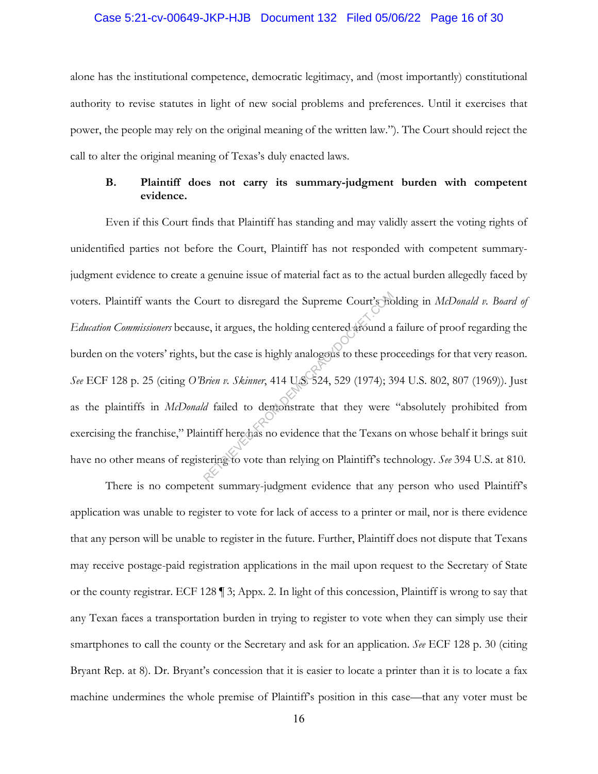#### Case 5:21-cv-00649-JKP-HJB Document 132 Filed 05/06/22 Page 16 of 30

alone has the institutional competence, democratic legitimacy, and (most importantly) constitutional authority to revise statutes in light of new social problems and preferences. Until it exercises that power, the people may rely on the original meaning of the written law."). The Court should reject the call to alter the original meaning of Texas's duly enacted laws.

## **B. Plaintiff does not carry its summary-judgment burden with competent evidence.**

Even if this Court finds that Plaintiff has standing and may validly assert the voting rights of unidentified parties not before the Court, Plaintiff has not responded with competent summaryjudgment evidence to create a genuine issue of material fact as to the actual burden allegedly faced by voters. Plaintiff wants the Court to disregard the Supreme Court's holding in *McDonald v. Board of Education Commissioners* because, it argues, the holding centered around a failure of proof regarding the burden on the voters' rights, but the case is highly analogous to these proceedings for that very reason. *See* ECF 128 p. 25 (citing *O'Brien v. Skinner*, 414 U.S. 524, 529 (1974); 394 U.S. 802, 807 (1969)). Just as the plaintiffs in *McDonald* failed to demonstrate that they were "absolutely prohibited from exercising the franchise," Plaintiff here has no evidence that the Texans on whose behalf it brings suit have no other means of registering to vote than relying on Plaintiff's technology. *See* 394 U.S. at 810. ourt to disregard the Supreme Court's Bc<br>se, it argues, the holding centered around a<br>put the case is highly analogous to these pro-<br>*Brien v. Skinner*, 414 US 524, 529 (1974); 3<br>*d* failed to demonstrate that they were<br>nt

There is no competent summary-judgment evidence that any person who used Plaintiff's application was unable to register to vote for lack of access to a printer or mail, nor is there evidence that any person will be unable to register in the future. Further, Plaintiff does not dispute that Texans may receive postage-paid registration applications in the mail upon request to the Secretary of State or the county registrar. ECF 128 ¶ 3; Appx. 2. In light of this concession, Plaintiff is wrong to say that any Texan faces a transportation burden in trying to register to vote when they can simply use their smartphones to call the county or the Secretary and ask for an application. *See* ECF 128 p. 30 (citing Bryant Rep. at 8). Dr. Bryant's concession that it is easier to locate a printer than it is to locate a fax machine undermines the whole premise of Plaintiff's position in this case—that any voter must be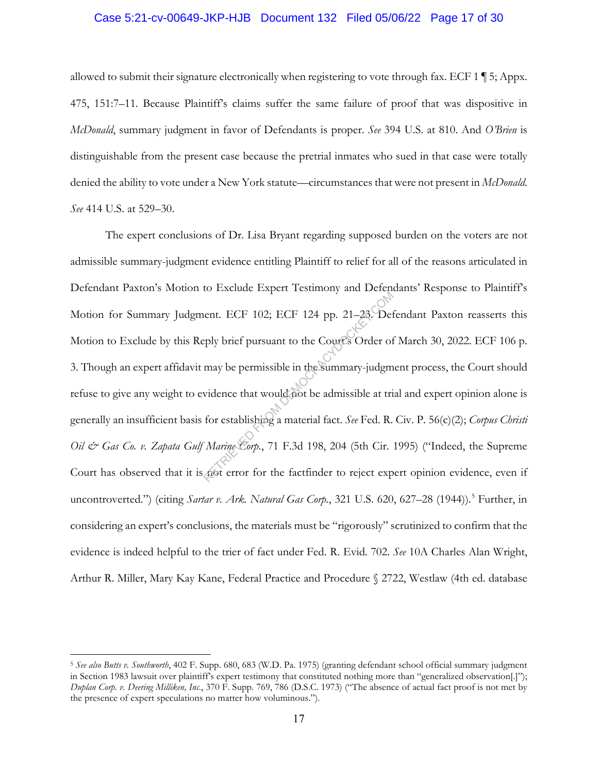#### Case 5:21-cv-00649-JKP-HJB Document 132 Filed 05/06/22 Page 17 of 30

allowed to submit their signature electronically when registering to vote through fax. ECF 1 ¶ 5; Appx. 475, 151:7–11. Because Plaintiff's claims suffer the same failure of proof that was dispositive in *McDonald*, summary judgment in favor of Defendants is proper. *See* 394 U.S. at 810. And *O'Brien* is distinguishable from the present case because the pretrial inmates who sued in that case were totally denied the ability to vote under a New York statute—circumstances that were not present in *McDonald*. *See* 414 U.S. at 529–30.

The expert conclusions of Dr. Lisa Bryant regarding supposed burden on the voters are not admissible summary-judgment evidence entitling Plaintiff to relief for all of the reasons articulated in Defendant Paxton's Motion to Exclude Expert Testimony and Defendants' Response to Plaintiff's Motion for Summary Judgment. ECF 102; ECF 124 pp. 21–23. Defendant Paxton reasserts this Motion to Exclude by this Reply brief pursuant to the Court's Order of March 30, 2022. ECF 106 p. 3. Though an expert affidavit may be permissible in the summary-judgment process, the Court should refuse to give any weight to evidence that would not be admissible at trial and expert opinion alone is generally an insufficient basis for establishing a material fact. *See* Fed. R. Civ. P. 56(c)(2); *Corpus Christi Oil & Gas Co. v. Zapata Gulf Marine Corp.*, 71 F.3d 198, 204 (5th Cir. 1995) ("Indeed, the Supreme Court has observed that it is not error for the factfinder to reject expert opinion evidence, even if uncontroverted.") (citing *Sartar v. Ark. Natural Gas Corp.*, 321 U.S. 620, 627–28 (1944)).<sup>5</sup> Further, in considering an expert's conclusions, the materials must be "rigorously" scrutinized to confirm that the evidence is indeed helpful to the trier of fact under Fed. R. Evid. 702. *See* 10A Charles Alan Wright, Arthur R. Miller, Mary Kay Kane, Federal Practice and Procedure § 2722, Westlaw (4th ed. database Reply brief pursuant to the Cources Order of<br>eply brief pursuant to the Cources Order of<br>may be permissible in the Summary-judgm<br>vidence that would not be admissible at tri<br>for establishing a material fact. *See* Fed. R.<br>M

<sup>5</sup> *See also Butts v. Southworth*, 402 F. Supp. 680, 683 (W.D. Pa. 1975) (granting defendant school official summary judgment in Section 1983 lawsuit over plaintiff's expert testimony that constituted nothing more than "generalized observation[.]"); *Duplan Corp. v. Deering Milliken, Inc.*, 370 F. Supp. 769, 786 (D.S.C. 1973) ("The absence of actual fact proof is not met by the presence of expert speculations no matter how voluminous.").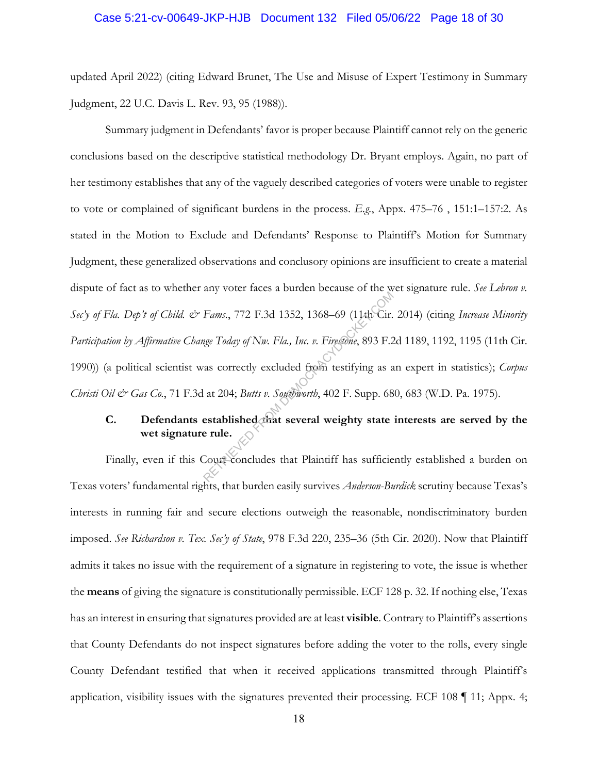#### Case 5:21-cv-00649-JKP-HJB Document 132 Filed 05/06/22 Page 18 of 30

updated April 2022) (citing Edward Brunet, The Use and Misuse of Expert Testimony in Summary Judgment, 22 U.C. Davis L. Rev. 93, 95 (1988)).

Summary judgment in Defendants' favor is proper because Plaintiff cannot rely on the generic conclusions based on the descriptive statistical methodology Dr. Bryant employs. Again, no part of her testimony establishes that any of the vaguely described categories of voters were unable to register to vote or complained of significant burdens in the process. *E.g.*, Appx. 475–76 , 151:1–157:2. As stated in the Motion to Exclude and Defendants' Response to Plaintiff's Motion for Summary Judgment, these generalized observations and conclusory opinions are insufficient to create a material dispute of fact as to whether any voter faces a burden because of the wet signature rule. *See Lebron v. Sec'y of Fla. Dep't of Child. & Fams.*, 772 F.3d 1352, 1368–69 (11th Cir. 2014) (citing *Increase Minority Participation by Affirmative Change Today of Nw. Fla., Inc. v. Firestone*, 893 F.2d 1189, 1192, 1195 (11th Cir. 1990)) (a political scientist was correctly excluded from testifying as an expert in statistics); *Corpus Christi Oil & Gas Co.*, 71 F.3d at 204; *Butts v. Southworth*, 402 F. Supp. 680, 683 (W.D. Pa. 1975). Fams., 772 F.3d 1352, 1368–69 (11th Cir.<br>Rege Today of Nw. Fla., Inc. v. Firestone, 893 F.2<br>ras correctly excluded from testifying as a<br>at 204; Butts v. Southworth, 402 F. Supp. 68<br>established that several weighty state<br>e

## **C.** Defendants established that several weighty state interests are served by the **wet signature rule.**

Finally, even if this Court concludes that Plaintiff has sufficiently established a burden on Texas voters' fundamental rights, that burden easily survives *Anderson-Burdick* scrutiny because Texas's interests in running fair and secure elections outweigh the reasonable, nondiscriminatory burden imposed. *See Richardson v. Tex. Sec'y of State*, 978 F.3d 220, 235–36 (5th Cir. 2020). Now that Plaintiff admits it takes no issue with the requirement of a signature in registering to vote, the issue is whether the **means** of giving the signature is constitutionally permissible. ECF 128 p. 32. If nothing else, Texas has an interest in ensuring that signatures provided are at least **visible**. Contrary to Plaintiff's assertions that County Defendants do not inspect signatures before adding the voter to the rolls, every single County Defendant testified that when it received applications transmitted through Plaintiff's application, visibility issues with the signatures prevented their processing. ECF 108 ¶ 11; Appx. 4;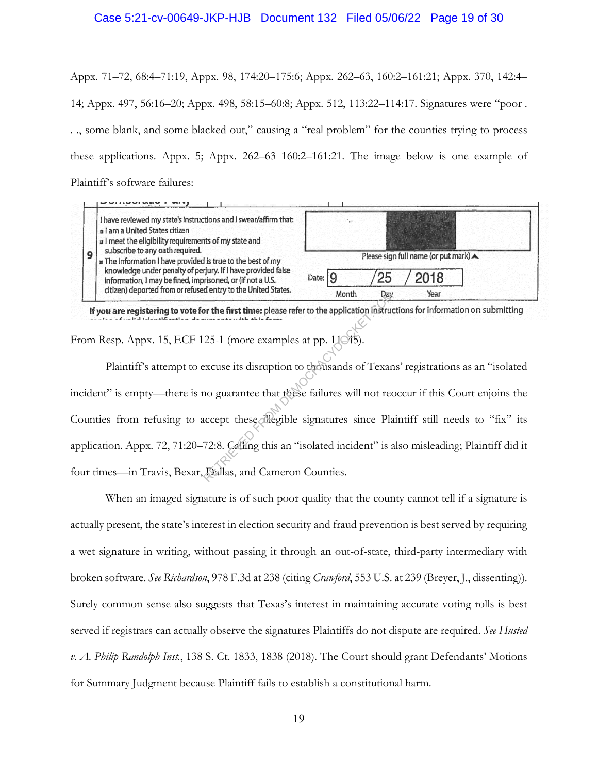#### Case 5:21-cv-00649-JKP-HJB Document 132 Filed 05/06/22 Page 19 of 30

Appx. 71–72, 68:4–71:19, Appx. 98, 174:20–175:6; Appx. 262–63, 160:2–161:21; Appx. 370, 142:4– 14; Appx. 497, 56:16–20; Appx. 498, 58:15–60:8; Appx. 512, 113:22–114:17. Signatures were "poor . . ., some blank, and some blacked out," causing a "real problem" for the counties trying to process these applications. Appx. 5; Appx. 262–63 160:2–161:21. The image below is one example of Plaintiff's software failures:



From Resp. Appx. 15, ECF 125-1 (more examples at pp. 11 $\in$ 45).

Plaintiff's attempt to excuse its disruption to thousands of Texans' registrations as an "isolated incident" is empty—there is no guarantee that these failures will not reoccur if this Court enjoins the Counties from refusing to accept these illegible signatures since Plaintiff still needs to "fix" its application. Appx. 72, 71:20–72:8. Calling this an "isolated incident" is also misleading; Plaintiff did it four times—in Travis, Bexar, Dallas, and Cameron Counties. Month<br>
Month<br>
Day<br>
or the first time: please refer to the application lostruce<br>
25-1 (more examples at pp. 11045).<br>
excuse its disruption to thousands of Texan<br>
no guarantee that these failures will not rec<br>
accept these d

When an imaged signature is of such poor quality that the county cannot tell if a signature is actually present, the state's interest in election security and fraud prevention is best served by requiring a wet signature in writing, without passing it through an out-of-state, third-party intermediary with broken software. *See Richardson*, 978 F.3d at 238 (citing *Crawford*, 553 U.S. at 239 (Breyer, J., dissenting)). Surely common sense also suggests that Texas's interest in maintaining accurate voting rolls is best served if registrars can actually observe the signatures Plaintiffs do not dispute are required. *See Husted v. A. Philip Randolph Inst.*, 138 S. Ct. 1833, 1838 (2018). The Court should grant Defendants' Motions for Summary Judgment because Plaintiff fails to establish a constitutional harm.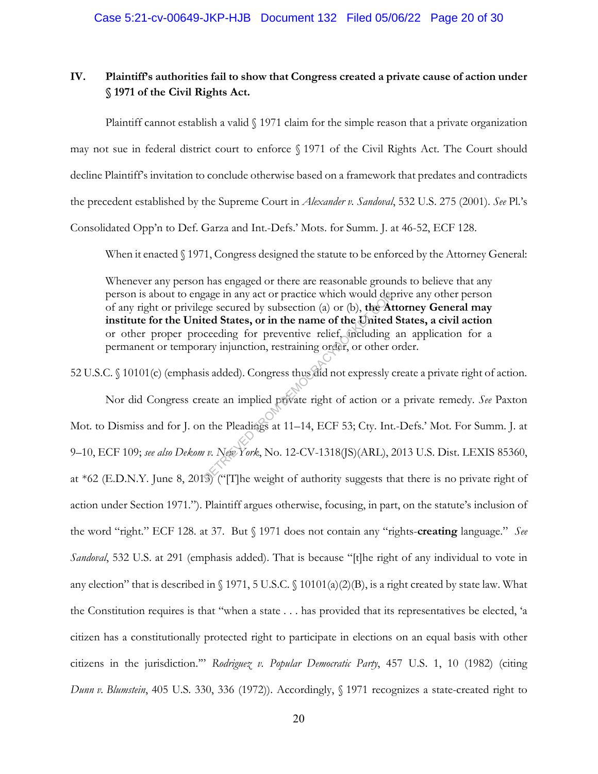## **IV. Plaintiff's authorities fail to show that Congress created a private cause of action under § 1971 of the Civil Rights Act.**

Plaintiff cannot establish a valid  $\frac{8}{1971}$  claim for the simple reason that a private organization may not sue in federal district court to enforce § 1971 of the Civil Rights Act. The Court should decline Plaintiff's invitation to conclude otherwise based on a framework that predates and contradicts the precedent established by the Supreme Court in *Alexander v. Sandoval*, 532 U.S. 275 (2001). *See* Pl.'s Consolidated Opp'n to Def. Garza and Int.-Defs.' Mots. for Summ. J. at 46-52, ECF 128.

When it enacted § 1971, Congress designed the statute to be enforced by the Attorney General:

Whenever any person has engaged or there are reasonable grounds to believe that any person is about to engage in any act or practice which would deprive any other person of any right or privilege secured by subsection (a) or (b), **the Attorney General may institute for the United States, or in the name of the United States, a civil action** or other proper proceeding for preventive relief, including an application for a permanent or temporary injunction, restraining order, or other order.

52 U.S.C. § 10101(c) (emphasis added). Congress thus did not expressly create a private right of action.

Nor did Congress create an implied private right of action or a private remedy. *See* Paxton Mot. to Dismiss and for J. on the Pleadings at 11–14, ECF 53; Cty. Int.-Defs.' Mot. For Summ. J. at 9–10, ECF 109; *see also Dekom v. New York*, No. 12-CV-1318(JS)(ARL), 2013 U.S. Dist. LEXIS 85360, at \*62 (E.D.N.Y. June 8, 2013) ("[T]he weight of authority suggests that there is no private right of action under Section 1971."). Plaintiff argues otherwise, focusing, in part, on the statute's inclusion of the word "right." ECF 128. at 37. But § 1971 does not contain any "rights-**creating** language." *See Sandoval*, 532 U.S. at 291 (emphasis added). That is because "[t]he right of any individual to vote in any election" that is described in § 1971, 5 U.S.C. § 10101(a)(2)(B), is a right created by state law. What the Constitution requires is that "when a state . . . has provided that its representatives be elected, 'a citizen has a constitutionally protected right to participate in elections on an equal basis with other citizens in the jurisdiction.'" *Rodriguez v. Popular Democratic Party*, 457 U.S. 1, 10 (1982) (citing *Dunn v. Blumstein*, 405 U.S. 330, 336 (1972)). Accordingly, § 1971 recognizes a state-created right to gage in any act or practice which would deg<br>ge secured by subsection (a) or (b), the At<br>ted States, or in the name of the United<br>ceeding for preventive relief, including<br>ary injunction, restraining order, or other or<br>is a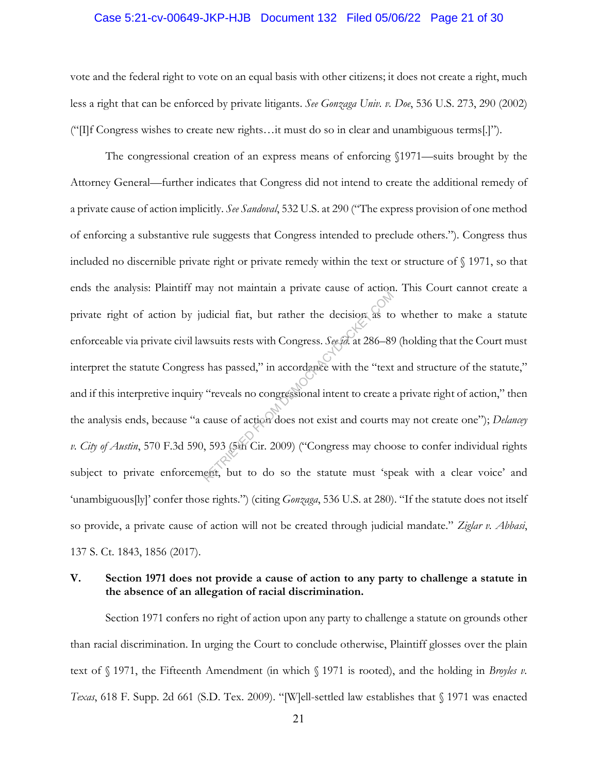#### Case 5:21-cv-00649-JKP-HJB Document 132 Filed 05/06/22 Page 21 of 30

vote and the federal right to vote on an equal basis with other citizens; it does not create a right, much less a right that can be enforced by private litigants. *See Gonzaga Univ. v. Doe*, 536 U.S. 273, 290 (2002) ("[I]f Congress wishes to create new rights…it must do so in clear and unambiguous terms[.]").

The congressional creation of an express means of enforcing §1971—suits brought by the Attorney General—further indicates that Congress did not intend to create the additional remedy of a private cause of action implicitly. *See Sandoval*, 532 U.S. at 290 ("The express provision of one method of enforcing a substantive rule suggests that Congress intended to preclude others."). Congress thus included no discernible private right or private remedy within the text or structure of § 1971, so that ends the analysis: Plaintiff may not maintain a private cause of action. This Court cannot create a private right of action by judicial fiat, but rather the decision as to whether to make a statute enforceable via private civil lawsuits rests with Congress. *See id.* at 286–89 (holding that the Court must interpret the statute Congress has passed," in accordance with the "text and structure of the statute," and if this interpretive inquiry "reveals no congressional intent to create a private right of action," then the analysis ends, because "a cause of action does not exist and courts may not create one"); *Delancey v. City of Austin*, 570 F.3d 590, 593 (5th Cir. 2009) ("Congress may choose to confer individual rights subject to private enforcement, but to do so the statute must 'speak with a clear voice' and 'unambiguous[ly]' confer those rights.") (citing *Gonzaga*, 536 U.S. at 280). "If the statute does not itself so provide, a private cause of action will not be created through judicial mandate." *Ziglar v. Abbasi*, 137 S. Ct. 1843, 1856 (2017). retain a private calculation as to<br>adicial fiat, but rather the decision as to<br>wsuits rests with Congress. See id. at 286–89<br>is has passed," in accordance with the "text<br>"reveals no congressional intent to create a<br>cause o

## **V. Section 1971 does not provide a cause of action to any party to challenge a statute in the absence of an allegation of racial discrimination.**

Section 1971 confers no right of action upon any party to challenge a statute on grounds other than racial discrimination. In urging the Court to conclude otherwise, Plaintiff glosses over the plain text of § 1971, the Fifteenth Amendment (in which § 1971 is rooted), and the holding in *Broyles v. Texas*, 618 F. Supp. 2d 661 (S.D. Tex. 2009). "[W]ell-settled law establishes that § 1971 was enacted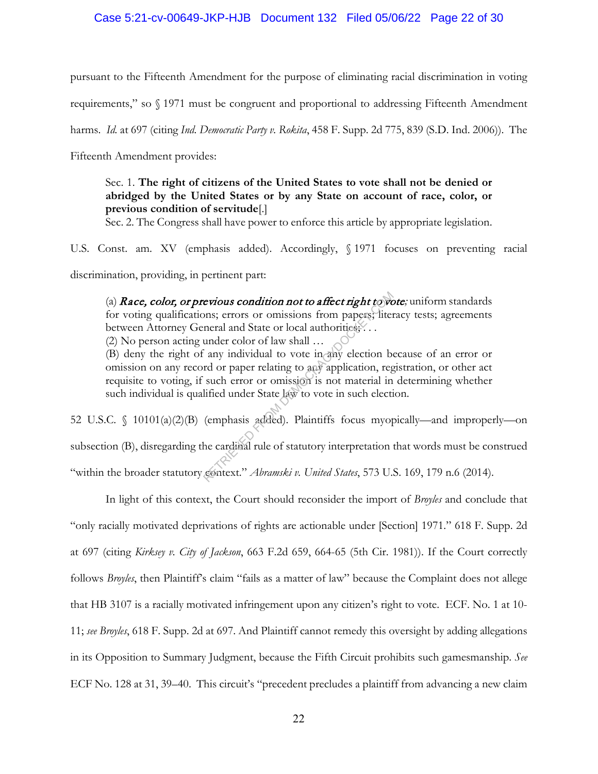#### Case 5:21-cv-00649-JKP-HJB Document 132 Filed 05/06/22 Page 22 of 30

pursuant to the Fifteenth Amendment for the purpose of eliminating racial discrimination in voting

requirements," so § 1971 must be congruent and proportional to addressing Fifteenth Amendment

harms. *Id.* at 697 (citing *Ind. Democratic Party v. Rokita*, 458 F. Supp. 2d 775, 839 (S.D. Ind. 2006)). The

Fifteenth Amendment provides:

Sec. 1. **The right of citizens of the United States to vote shall not be denied or abridged by the United States or by any State on account of race, color, or previous condition of servitude**[.]

Sec. 2. The Congress shall have power to enforce this article by appropriate legislation.

U.S. Const. am. XV (emphasis added). Accordingly, § 1971 focuses on preventing racial

discrimination, providing, in pertinent part:

(a) Race, color, or previous condition not to affect right to vote*;* uniform standards for voting qualifications; errors or omissions from papers; literacy tests; agreements between Attorney General and State or local authorities;...

(2) No person acting under color of law shall …

(B) deny the right of any individual to vote in any election because of an error or omission on any record or paper relating to any application, registration, or other act requisite to voting, if such error or omission is not material in determining whether such individual is qualified under State law to vote in such election.

52 U.S.C. § 10101(a)(2)(B) (emphasis added). Plaintiffs focus myopically—and improperly—on subsection (B), disregarding the cardinal rule of statutory interpretation that words must be construed "within the broader statutory context." *Abramski v. United States*, 573 U.S. 169, 179 n.6 (2014). revious condition not to affect right to volumes; errors or omissions from papers; litemeral and State or local authorities...<br>under color of law shall ...<br>any individual to vote in any election be red or paper relating to

In light of this context, the Court should reconsider the import of *Broyles* and conclude that "only racially motivated deprivations of rights are actionable under [Section] 1971." 618 F. Supp. 2d at 697 (citing *Kirksey v. City of Jackson*, 663 F.2d 659, 664-65 (5th Cir. 1981)). If the Court correctly follows *Broyles*, then Plaintiff's claim "fails as a matter of law" because the Complaint does not allege that HB 3107 is a racially motivated infringement upon any citizen's right to vote. ECF. No. 1 at 10- 11; *see Broyles*, 618 F. Supp. 2d at 697. And Plaintiff cannot remedy this oversight by adding allegations in its Opposition to Summary Judgment, because the Fifth Circuit prohibits such gamesmanship. *See*  ECF No. 128 at 31, 39–40. This circuit's "precedent precludes a plaintiff from advancing a new claim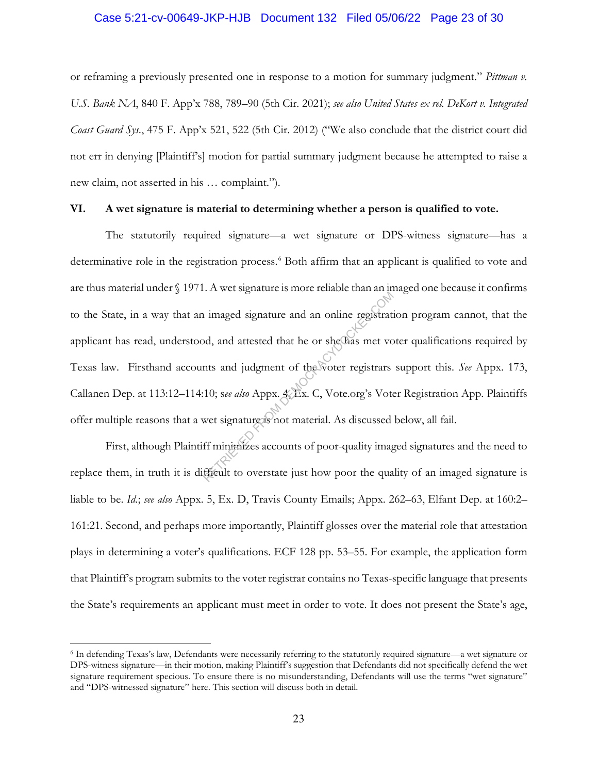#### Case 5:21-cv-00649-JKP-HJB Document 132 Filed 05/06/22 Page 23 of 30

or reframing a previously presented one in response to a motion for summary judgment." *Pittman v. U.S. Bank NA*, 840 F. App'x 788, 789–90 (5th Cir. 2021); *see also United States ex rel. DeKort v. Integrated Coast Guard Sys.*, 475 F. App'x 521, 522 (5th Cir. 2012) ("We also conclude that the district court did not err in denying [Plaintiff's] motion for partial summary judgment because he attempted to raise a new claim, not asserted in his … complaint.").

#### **VI. A wet signature is material to determining whether a person is qualified to vote.**

The statutorily required signature—a wet signature or DPS-witness signature—has a determinative role in the registration process.<sup>6</sup> Both affirm that an applicant is qualified to vote and are thus material under § 1971. A wet signature is more reliable than an imaged one because it confirms to the State, in a way that an imaged signature and an online registration program cannot, that the applicant has read, understood, and attested that he or she has met voter qualifications required by Texas law. Firsthand accounts and judgment of the voter registrars support this. *See* Appx. 173, Callanen Dep. at 113:12–114:10; s*ee also* Appx. 4, Ex. C, Vote.org's Voter Registration App. Plaintiffs offer multiple reasons that a wet signature is not material. As discussed below, all fail. The mass is and an online registrational and an online registrational and an online registration.<br>The mass and judgment of the voter registrars and judgment of the voter registrars 10; see also Appx.  $\angle$ Ex. C, Vote.org's

First, although Plaintiff minimizes accounts of poor-quality imaged signatures and the need to replace them, in truth it is difficult to overstate just how poor the quality of an imaged signature is liable to be. *Id.*; *see also* Appx. 5, Ex. D, Travis County Emails; Appx. 262–63, Elfant Dep. at 160:2– 161:21*.* Second, and perhaps more importantly, Plaintiff glosses over the material role that attestation plays in determining a voter's qualifications. ECF 128 pp. 53–55. For example, the application form that Plaintiff's program submits to the voter registrar contains no Texas-specific language that presents the State's requirements an applicant must meet in order to vote. It does not present the State's age,

<sup>6</sup> In defending Texas's law, Defendants were necessarily referring to the statutorily required signature—a wet signature or DPS-witness signature—in their motion, making Plaintiff's suggestion that Defendants did not specifically defend the wet signature requirement specious. To ensure there is no misunderstanding, Defendants will use the terms "wet signature" and "DPS-witnessed signature" here. This section will discuss both in detail.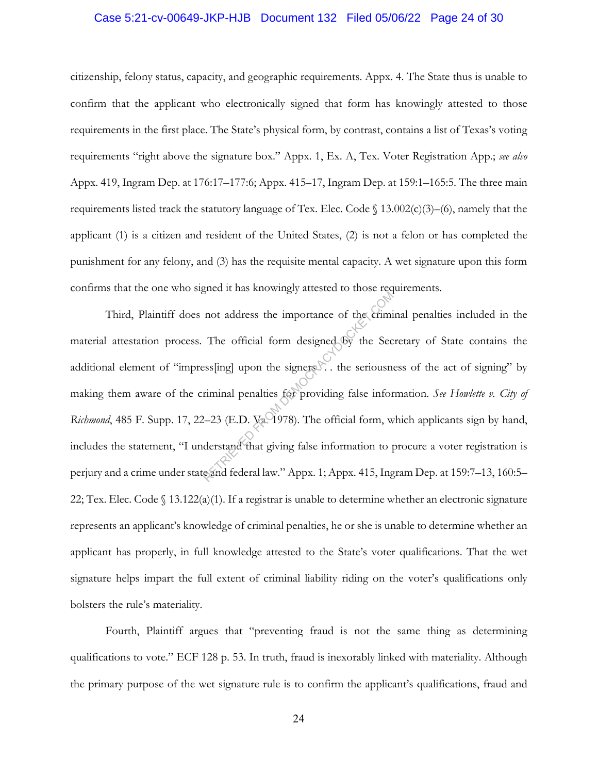#### Case 5:21-cv-00649-JKP-HJB Document 132 Filed 05/06/22 Page 24 of 30

citizenship, felony status, capacity, and geographic requirements. Appx. 4. The State thus is unable to confirm that the applicant who electronically signed that form has knowingly attested to those requirements in the first place. The State's physical form, by contrast, contains a list of Texas's voting requirements "right above the signature box." Appx. 1, Ex. A, Tex. Voter Registration App.; *see also* Appx. 419, Ingram Dep. at 176:17–177:6; Appx. 415–17, Ingram Dep. at 159:1–165:5. The three main requirements listed track the statutory language of Tex. Elec. Code  $\int$  13.002(c)(3)–(6), namely that the applicant (1) is a citizen and resident of the United States, (2) is not a felon or has completed the punishment for any felony, and (3) has the requisite mental capacity. A wet signature upon this form confirms that the one who signed it has knowingly attested to those requirements.

Third, Plaintiff does not address the importance of the criminal penalties included in the material attestation process. The official form designed by the Secretary of State contains the additional element of "impress[ing] upon the signers . the seriousness of the act of signing" by making them aware of the criminal penalties for providing false information. *See Howlette v. City of Richmond*, 485 F. Supp. 17, 22–23 (E.D. Va. 1978). The official form, which applicants sign by hand, includes the statement, "I understand that giving false information to procure a voter registration is perjury and a crime under state and federal law." Appx. 1; Appx. 415, Ingram Dep. at 159:7–13, 160:5– 22; Tex. Elec. Code  $\{(13.122(a)(1))\}$  If a registrar is unable to determine whether an electronic signature represents an applicant's knowledge of criminal penalties, he or she is unable to determine whether an applicant has properly, in full knowledge attested to the State's voter qualifications. That the wet signature helps impart the full extent of criminal liability riding on the voter's qualifications only bolsters the rule's materiality. not address the importance of the criminal<br>The official form designed by the Sec<br>ess[ing] upon the signers b. the seriousner<br>iminal penalties for providing false information<br>2-23 (E.D. Va 1978). The official form, we<br>derst

Fourth, Plaintiff argues that "preventing fraud is not the same thing as determining qualifications to vote." ECF 128 p. 53. In truth, fraud is inexorably linked with materiality. Although the primary purpose of the wet signature rule is to confirm the applicant's qualifications, fraud and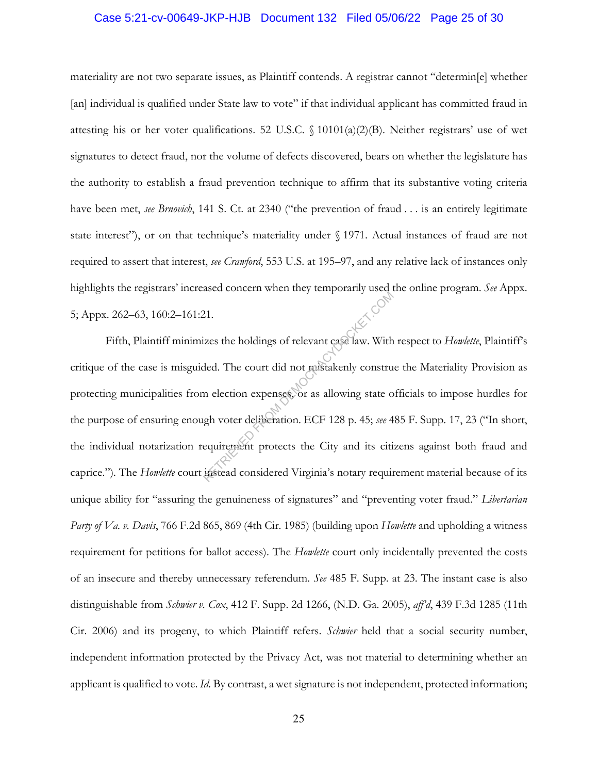#### Case 5:21-cv-00649-JKP-HJB Document 132 Filed 05/06/22 Page 25 of 30

materiality are not two separate issues, as Plaintiff contends. A registrar cannot "determin[e] whether [an] individual is qualified under State law to vote" if that individual applicant has committed fraud in attesting his or her voter qualifications. 52 U.S.C.  $\{(10101(a)(2)(B))\}$ . Neither registrars' use of wet signatures to detect fraud, nor the volume of defects discovered, bears on whether the legislature has the authority to establish a fraud prevention technique to affirm that its substantive voting criteria have been met, *see Brnovich*, 141 S. Ct. at 2340 ("the prevention of fraud . . . is an entirely legitimate state interest"), or on that technique's materiality under § 1971. Actual instances of fraud are not required to assert that interest, *see Crawford*, 553 U.S. at 195–97, and any relative lack of instances only highlights the registrars' increased concern when they temporarily used the online program. *See* Appx. 5; Appx. 262–63, 160:2–161:21*.*

Fifth, Plaintiff minimizes the holdings of relevant case law. With respect to *Howlette*, Plaintiff's critique of the case is misguided. The court did not mistakenly construe the Materiality Provision as protecting municipalities from election expenses, or as allowing state officials to impose hurdles for the purpose of ensuring enough voter deliberation. ECF 128 p. 45; *see* 485 F. Supp. 17, 23 ("In short, the individual notarization requirement protects the City and its citizens against both fraud and caprice.")*.* The *Howlette* court instead considered Virginia's notary requirement material because of its unique ability for "assuring the genuineness of signatures" and "preventing voter fraud." *Libertarian Party of Va. v. Davis*, 766 F.2d 865, 869 (4th Cir. 1985) (building upon *Howlette* and upholding a witness requirement for petitions for ballot access). The *Howlette* court only incidentally prevented the costs of an insecure and thereby unnecessary referendum. *See* 485 F. Supp. at 23. The instant case is also distinguishable from *Schwier v. Cox*, 412 F. Supp. 2d 1266, (N.D. Ga. 2005), *aff'd*, 439 F.3d 1285 (11th Cir. 2006) and its progeny, to which Plaintiff refers. *Schwier* held that a social security number, independent information protected by the Privacy Act, was not material to determining whether an applicant is qualified to vote. *Id.* By contrast, a wet signature is not independent, protected information; Retains and the holdings of relevant case law. With<br>ded. The court did not mistakenly construent election expenses. or as allowing state of<br>the voter deliberation. ECF 128 p. 45; *see* 4<br>equirement protects the City and it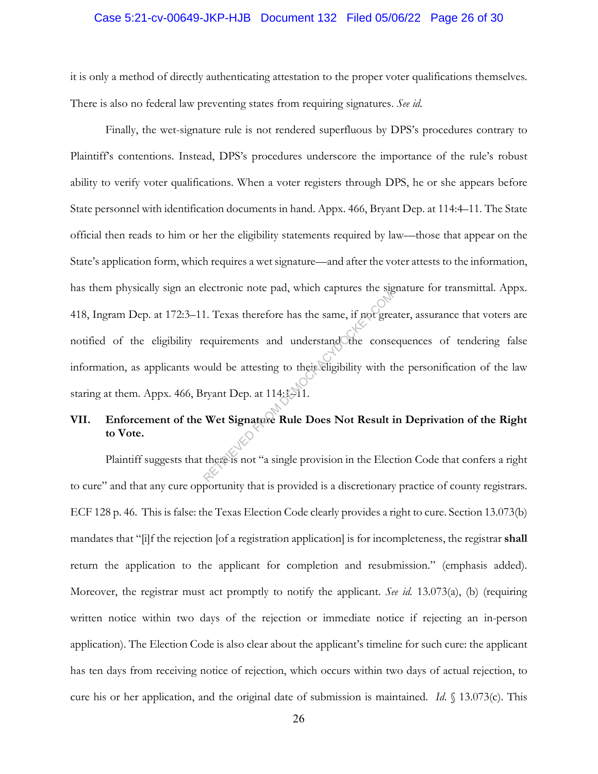#### Case 5:21-cv-00649-JKP-HJB Document 132 Filed 05/06/22 Page 26 of 30

it is only a method of directly authenticating attestation to the proper voter qualifications themselves. There is also no federal law preventing states from requiring signatures. *See id.* 

Finally, the wet-signature rule is not rendered superfluous by DPS's procedures contrary to Plaintiff's contentions. Instead, DPS's procedures underscore the importance of the rule's robust ability to verify voter qualifications. When a voter registers through DPS, he or she appears before State personnel with identification documents in hand. Appx. 466, Bryant Dep. at 114:4–11. The State official then reads to him or her the eligibility statements required by law—those that appear on the State's application form, which requires a wet signature—and after the voter attests to the information, has them physically sign an electronic note pad, which captures the signature for transmittal. Appx. 418, Ingram Dep. at 172:3–11. Texas therefore has the same, if not greater, assurance that voters are notified of the eligibility requirements and understand the consequences of tendering false information, as applicants would be attesting to their eligibility with the personification of the law staring at them. Appx. 466, Bryant Dep. at  $114:1-11$ . 1. Texas therefore has the same, if not greed<br>equirements and understand other conservations and understand other conservations<br>ould be attesting to their eligibility with the ryant Dep. at 114:4.3.1.<br>Wet Signature Rule Do

## **VII. Enforcement of the Wet Signature Rule Does Not Result in Deprivation of the Right to Vote.**

Plaintiff suggests that there is not "a single provision in the Election Code that confers a right to cure" and that any cure opportunity that is provided is a discretionary practice of county registrars. ECF 128 p. 46. This is false: the Texas Election Code clearly provides a right to cure. Section 13.073(b) mandates that "[i]f the rejection [of a registration application] is for incompleteness, the registrar **shall**  return the application to the applicant for completion and resubmission." (emphasis added). Moreover, the registrar must act promptly to notify the applicant. *See id.* 13.073(a), (b) (requiring written notice within two days of the rejection or immediate notice if rejecting an in-person application). The Election Code is also clear about the applicant's timeline for such cure: the applicant has ten days from receiving notice of rejection, which occurs within two days of actual rejection, to cure his or her application, and the original date of submission is maintained. *Id*. § 13.073(c). This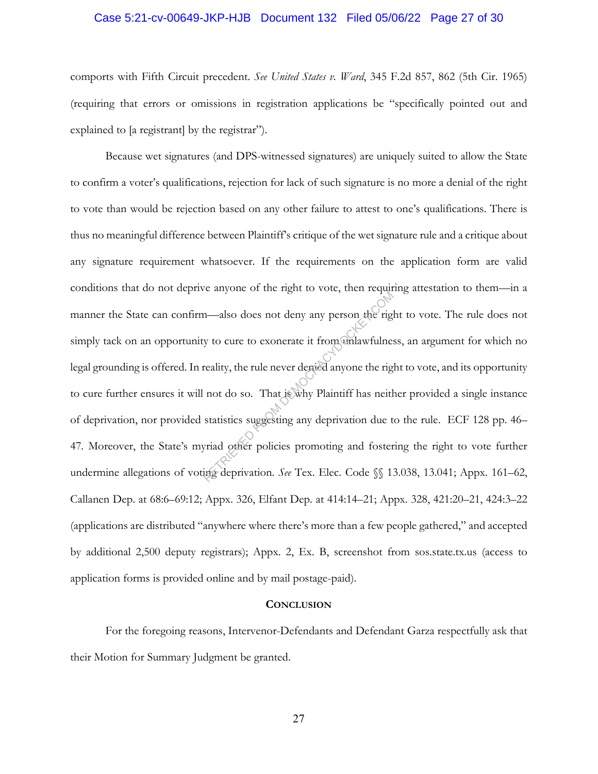#### Case 5:21-cv-00649-JKP-HJB Document 132 Filed 05/06/22 Page 27 of 30

comports with Fifth Circuit precedent. *See United States v. Ward*, 345 F.2d 857, 862 (5th Cir. 1965) (requiring that errors or omissions in registration applications be "specifically pointed out and explained to [a registrant] by the registrar").

Because wet signatures (and DPS-witnessed signatures) are uniquely suited to allow the State to confirm a voter's qualifications, rejection for lack of such signature is no more a denial of the right to vote than would be rejection based on any other failure to attest to one's qualifications. There is thus no meaningful difference between Plaintiff's critique of the wet signature rule and a critique about any signature requirement whatsoever. If the requirements on the application form are valid conditions that do not deprive anyone of the right to vote, then requiring attestation to them—in a manner the State can confirm—also does not deny any person the right to vote. The rule does not simply tack on an opportunity to cure to exonerate it from unlawfulness, an argument for which no legal grounding is offered. In reality, the rule never denied anyone the right to vote, and its opportunity to cure further ensures it will not do so. That is why Plaintiff has neither provided a single instance of deprivation, nor provided statistics suggesting any deprivation due to the rule. ECF 128 pp. 46– 47*.* Moreover, the State's myriad other policies promoting and fostering the right to vote further undermine allegations of voting deprivation. *See* Tex. Elec. Code  $\%$  13.038, 13.041; Appx. 161–62, Callanen Dep. at 68:6–69:12; Appx. 326, Elfant Dep. at 414:14–21; Appx. 328, 421:20–21, 424:3–22 (applications are distributed "anywhere where there's more than a few people gathered," and accepted by additional 2,500 deputy registrars); Appx. 2, Ex. B, screenshot from sos.state.tx.us (access to application forms is provided online and by mail postage-paid). The anysine of the fight to vote, then teques<br>
m—also does not deny any person the right<br>
reality, the rule never denied anyone the right<br>
reality, the rule never denied anyone the right<br>
not do so. That is why Plaintiff h

#### **CONCLUSION**

 For the foregoing reasons, Intervenor-Defendants and Defendant Garza respectfully ask that their Motion for Summary Judgment be granted.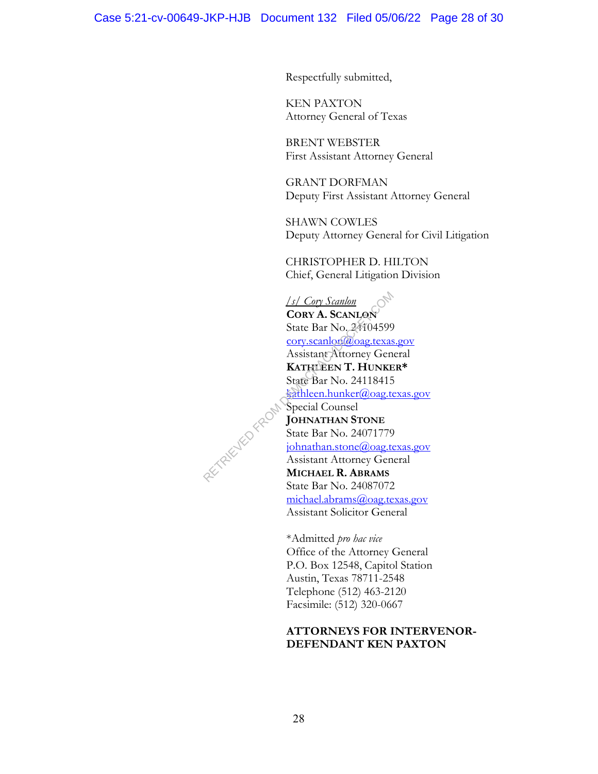Respectfully submitted,

KEN PAXTON Attorney General of Texas

BRENT WEBSTER First Assistant Attorney General

GRANT DORFMAN Deputy First Assistant Attorney General

SHAWN COWLES Deputy Attorney General for Civil Litigation

CHRISTOPHER D. HILTON Chief, General Litigation Division

*/s/ Cory Scanlon*  **CORY A. SCANLON** State Bar No. 24104599 cory.scanlon@oag.texas.gov Assistant Attorney General **KATHLEEN T. HUNKER\***  State Bar No. 24118415 kathleen.hunker@oag.texas.gov Special Counsel **JOHNATHAN STONE** State Bar No. 24071779 johnathan.stone@oag.texas.gov Assistant Attorney General **MICHAEL R. ABRAMS** State Bar No. 24087072 michael.abrams@oag.texas.gov Assistant Solicitor General RETRIEVED FROM !

> \*Admitted *pro hac vice* Office of the Attorney General P.O. Box 12548, Capitol Station Austin, Texas 78711-2548 Telephone (512) 463-2120 Facsimile: (512) 320-0667

## **ATTORNEYS FOR INTERVENOR-DEFENDANT KEN PAXTON**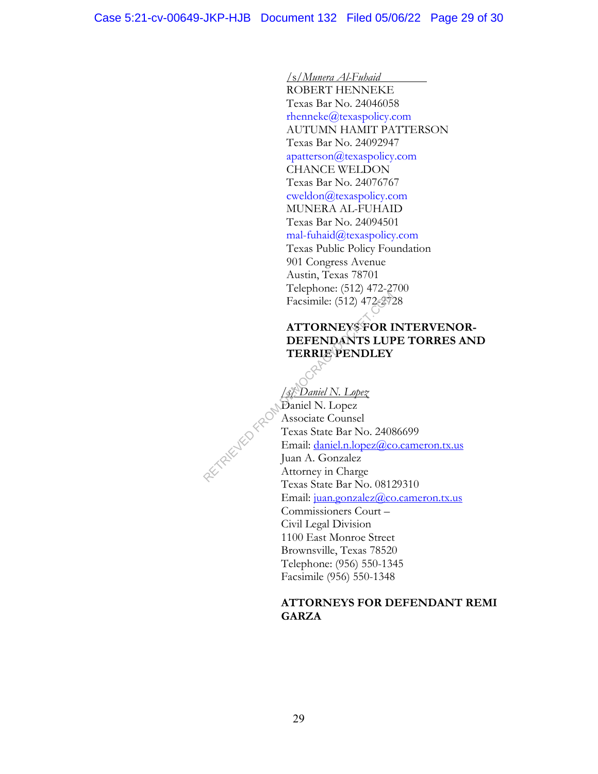/s/*Munera Al-Fuhaid*

ROBERT HENNEKE Texas Bar No. 24046058 rhenneke@texaspolicy.com AUTUMN HAMIT PATTERSON Texas Bar No. 24092947 apatterson@texaspolicy.com CHANCE WELDON Texas Bar No. 24076767 cweldon@texaspolicy.com MUNERA AL-FUHAID Texas Bar No. 24094501 mal-fuhaid@texaspolicy.com Texas Public Policy Foundation 901 Congress Avenue Austin, Texas 78701 Telephone: (512) 472-2700 Facsimile: (512) 472-2728

# **ATTORNEYS FOR INTERVENOR-DEFENDANTS LUPE TORRES AND TERRIE PENDLEY**

*/s/ Daniel N. Lopez*

Daniel N. Lopez Associate Counsel Texas State Bar No. 24086699 Email: daniel.n.lopez@co.cameron.tx.us Juan A. Gonzalez Facsimile: (512) 472-272<br>
Facsimile: (512) 472-272<br> **ATTORNEYS FOR I**<br> **DEFENDANTS LUF<br>
TERRIE PENDLEY**<br> *ATTORNEYS FOR I*<br> **TERRIE PENDLEY**<br> *COM Daniel N. Lopez*<br> *COM Daniel N. Lopez*<br> *COM Daniel N. Lopez*<br> *COM Daniel* Texas State Bar No. 08129310 Email: juan.gonzalez@co.cameron.tx.us Commissioners Court – Civil Legal Division 1100 East Monroe Street Brownsville, Texas 78520 Telephone: (956) 550-1345 Facsimile (956) 550-1348

## **ATTORNEYS FOR DEFENDANT REMI GARZA**